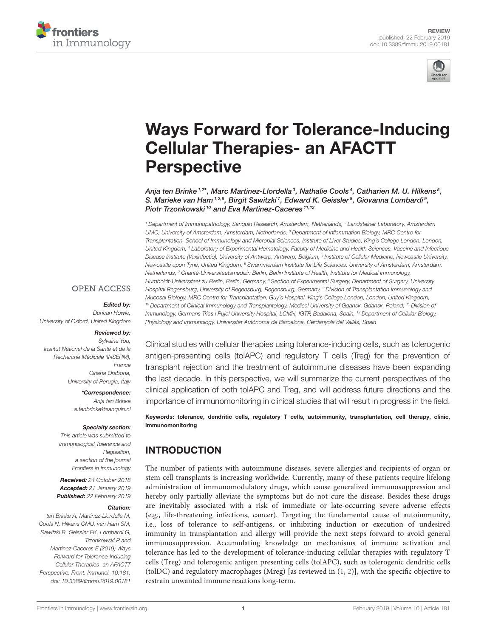



# [Ways Forward for Tolerance-Inducing](https://www.frontiersin.org/articles/10.3389/fimmu.2019.00181/full) Cellular Therapies- an AFACTT **Perspective**

[Anja ten Brinke](http://loop.frontiersin.org/people/163004/overview) 1.2\*, [Marc Martinez-Llordella](http://loop.frontiersin.org/people/507421/overview)<sup>3</sup>, [Nathalie Cools](http://loop.frontiersin.org/people/358593/overview)<sup>4</sup>, [Catharien M. U. Hilkens](http://loop.frontiersin.org/people/41295/overview)<sup>5</sup>, [S. Marieke van Ham](http://loop.frontiersin.org/people/177433/overview) $^{1,2,6}$ , [Birgit Sawitzki](http://loop.frontiersin.org/people/181942/overview) $^7$ , [Edward K. Geissler](http://loop.frontiersin.org/people/67380/overview) $^8$ , [Giovanna Lombardi](http://loop.frontiersin.org/people/23690/overview) $^9$ , Piotr Trzonkowski<sup>10</sup> and [Eva Martinez-Caceres](http://loop.frontiersin.org/people/507208/overview)<sup>11,12</sup>

<sup>1</sup> Department of Immunopathology, Sanquin Research, Amsterdam, Netherlands, <sup>2</sup> Landsteiner Laboratory, Amsterdam UMC, University of Amsterdam, Amsterdam, Netherlands, <sup>3</sup> Department of Inflammation Biology, MRC Centre for Transplantation, School of Immunology and Microbial Sciences, Institute of Liver Studies, King's College London, London, United Kingdom, <sup>4</sup> Laboratory of Experimental Hematology, Faculty of Medicine and Health Sciences, Vaccine and Infectious Disease Institute (Vaxinfectio), University of Antwerp, Antwerp, Belgium, <sup>5</sup> Institute of Cellular Medicine, Newcastle University, Newcastle upon Tyne, United Kingdom, <sup>6</sup> Swammerdam Institute for Life Sciences, University of Amsterdam, Amsterdam, Netherlands, <sup>7</sup> Charité-Universitaetsmedizin Berlin, Berlin Institute of Health, Institute for Medical Immunology, Humboldt-Universitaet zu Berlin, Berlin, Germany, <sup>8</sup> Section of Experimental Surgery, Department of Surgery, University Hospital Regensburg, University of Regensburg, Regensburg, Germany, <sup>9</sup> Division of Transplantation Immunology and Mucosal Biology, MRC Centre for Transplantation, Guy's Hospital, King's College London, London, United Kingdom, <sup>10</sup> Department of Clinical Immunology and Transplantology, Medical University of Gdansk, Gdansk, Poland, <sup>11</sup> Division of Immunology, Germans Trias i Pujol University Hospital, LCMN, IGTP, Badalona, Spain, <sup>12</sup> Department of Cellular Biology, Physiology and Immunology, Universitat Autònoma de Barcelona, Cerdanyola del Vallès, Spain

#### **OPEN ACCESS**

#### Edited by:

Duncan Howie, University of Oxford, United Kingdom

#### Reviewed by:

Sylvaine You, Institut National de la Santé et de la Recherche Médicale (INSERM), France Ciriana Orabona, University of Perugia, Italy

#### \*Correspondence:

Anja ten Brinke [a.tenbrinke@sanquin.nl](mailto:a.tenbrinke@sanquin.nl)

#### Specialty section:

This article was submitted to Immunological Tolerance and Regulation, a section of the journal Frontiers in Immunology

Received: 24 October 2018 Accepted: 21 January 2019 Published: 22 February 2019

#### Citation:

ten Brinke A, Martinez-Llordella M, Cools N, Hilkens CMU, van Ham SM, Sawitzki B, Geissler EK, Lombardi G, Trzonkowski P and Martinez-Caceres E (2019) Ways Forward for Tolerance-Inducing Cellular Therapies- an AFACTT Perspective. Front. Immunol. 10:181. doi: [10.3389/fimmu.2019.00181](https://doi.org/10.3389/fimmu.2019.00181)

Clinical studies with cellular therapies using tolerance-inducing cells, such as tolerogenic antigen-presenting cells (tolAPC) and regulatory T cells (Treg) for the prevention of transplant rejection and the treatment of autoimmune diseases have been expanding the last decade. In this perspective, we will summarize the current perspectives of the clinical application of both tolAPC and Treg, and will address future directions and the importance of immunomonitoring in clinical studies that will result in progress in the field.

Keywords: tolerance, dendritic cells, regulatory T cells, autoimmunity, transplantation, cell therapy, clinic, immunomonitoring

# INTRODUCTION

The number of patients with autoimmune diseases, severe allergies and recipients of organ or stem cell transplants is increasing worldwide. Currently, many of these patients require lifelong administration of immunomodulatory drugs, which cause generalized immunosuppression and hereby only partially alleviate the symptoms but do not cure the disease. Besides these drugs are inevitably associated with a risk of immediate or late-occurring severe adverse effects (e.g., life-threatening infections, cancer). Targeting the fundamental cause of autoimmunity, i.e., loss of tolerance to self-antigens, or inhibiting induction or execution of undesired immunity in transplantation and allergy will provide the next steps forward to avoid general immunosuppression. Accumulating knowledge on mechanisms of immune activation and tolerance has led to the development of tolerance-inducing cellular therapies with regulatory T cells (Treg) and tolerogenic antigen presenting cells (tolAPC), such as tolerogenic dendritic cells (tolDC) and regulatory macrophages (Mreg) [as reviewed in [\(1,](#page-14-0) [2\)](#page-14-1)], with the specific objective to restrain unwanted immune reactions long-term.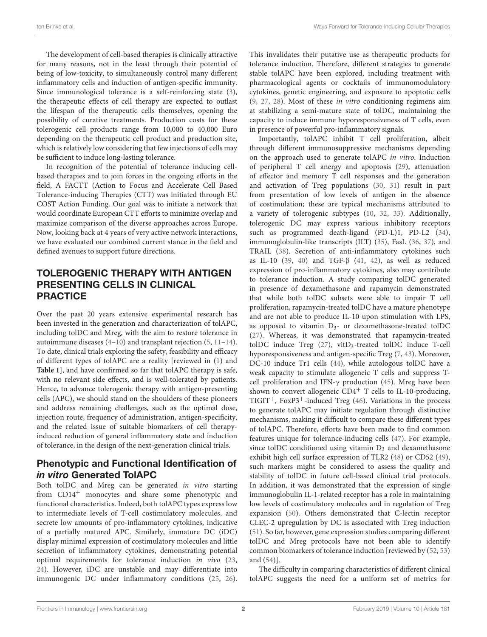The development of cell-based therapies is clinically attractive for many reasons, not in the least through their potential of being of low-toxicity, to simultaneously control many different inflammatory cells and induction of antigen-specific immunity. Since immunological tolerance is a self-reinforcing state [\(3\)](#page-15-0), the therapeutic effects of cell therapy are expected to outlast the lifespan of the therapeutic cells themselves, opening the possibility of curative treatments. Production costs for these tolerogenic cell products range from 10,000 to 40,000 Euro depending on the therapeutic cell product and production site, which is relatively low considering that few injections of cells may be sufficient to induce long-lasting tolerance.

In recognition of the potential of tolerance inducing cellbased therapies and to join forces in the ongoing efforts in the field, A FACTT (Action to Focus and Accelerate Cell Based Tolerance-inducing Therapies (CTT) was initiated through EU COST Action Funding. Our goal was to initiate a network that would coordinate European CTT efforts to minimize overlap and maximize comparison of the diverse approaches across Europe. Now, looking back at 4 years of very active network interactions, we have evaluated our combined current stance in the field and defined avenues to support future directions.

### TOLEROGENIC THERAPY WITH ANTIGEN PRESENTING CELLS IN CLINICAL PRACTICE

Over the past 20 years extensive experimental research has been invested in the generation and characterization of tolAPC, including tolDC and Mreg, with the aim to restore tolerance in autoimmune diseases [\(4–](#page-15-1)[10\)](#page-15-2) and transplant rejection [\(5,](#page-15-3) [11–](#page-15-4)[14\)](#page-15-5). To date, clinical trials exploring the safety, feasibility and efficacy of different types of tolAPC are a reality [reviewed in [\(1\)](#page-14-0) and **[Table 1](#page-2-0)**], and have confirmed so far that tolAPC therapy is safe, with no relevant side effects, and is well-tolerated by patients. Hence, to advance tolerogenic therapy with antigen-presenting cells (APC), we should stand on the shoulders of these pioneers and address remaining challenges, such as the optimal dose, injection route, frequency of administration, antigen-specificity, and the related issue of suitable biomarkers of cell therapyinduced reduction of general inflammatory state and induction of tolerance, in the design of the next-generation clinical trials.

### Phenotypic and Functional Identification of in vitro Generated TolAPC

Both tolDC and Mreg can be generated in vitro starting from CD14<sup>+</sup> monocytes and share some phenotypic and functional characteristics. Indeed, both tolAPC types express low to intermediate levels of T-cell costimulatory molecules, and secrete low amounts of pro-inflammatory cytokines, indicative of a partially matured APC. Similarly, immature DC (iDC) display minimal expression of costimulatory molecules and little secretion of inflammatory cytokines, demonstrating potential optimal requirements for tolerance induction in vivo [\(23,](#page-15-6) [24\)](#page-15-7). However, iDC are unstable and may differentiate into immunogenic DC under inflammatory conditions [\(25,](#page-15-8) [26\)](#page-15-9).

This invalidates their putative use as therapeutic products for tolerance induction. Therefore, different strategies to generate stable tolAPC have been explored, including treatment with pharmacological agents or cocktails of immunomodulatory cytokines, genetic engineering, and exposure to apoptotic cells [\(9,](#page-15-10) [27,](#page-15-11) [28\)](#page-15-12). Most of these in vitro conditioning regimens aim at stabilizing a semi-mature state of tolDC, maintaining the capacity to induce immune hyporesponsiveness of T cells, even in presence of powerful pro-inflammatory signals.

Importantly, tolAPC inhibit T cell proliferation, albeit through different immunosuppressive mechanisms depending on the approach used to generate tolAPC in vitro. Induction of peripheral T cell anergy and apoptosis [\(29\)](#page-15-13), attenuation of effector and memory T cell responses and the generation and activation of Treg populations [\(30,](#page-15-14) [31\)](#page-15-15) result in part from presentation of low levels of antigen in the absence of costimulation; these are typical mechanisms attributed to a variety of tolerogenic subtypes [\(10,](#page-15-2) [32,](#page-15-16) [33\)](#page-15-17). Additionally, tolerogenic DC may express various inhibitory receptors such as programmed death-ligand (PD-L)1, PD-L2 [\(34\)](#page-15-18), immunoglobulin-like transcripts (ILT) [\(35\)](#page-15-19), FasL [\(36,](#page-15-20) [37\)](#page-15-21), and TRAIL [\(38\)](#page-15-22). Secretion of anti-inflammatory cytokines such as IL-10 [\(39,](#page-15-23) [40\)](#page-15-24) and TGF-β [\(41,](#page-16-0) [42\)](#page-16-1), as well as reduced expression of pro-inflammatory cytokines, also may contribute to tolerance induction. A study comparing tolDC generated in presence of dexamethasone and rapamycin demonstrated that while both tolDC subsets were able to impair T cell proliferation, rapamycin-treated tolDC have a mature phenotype and are not able to produce IL-10 upon stimulation with LPS, as opposed to vitamin  $D_3$ - or dexamethasone-treated tolDC [\(27\)](#page-15-11). Whereas, it was demonstrated that rapamycin-treated tolDC induce Treg  $(27)$ , vitD<sub>3</sub>-treated tolDC induce T-cell hyporesponsiveness and antigen-specific Treg [\(7,](#page-15-25) [43\)](#page-16-2). Moreover, DC-10 induce Tr1 cells [\(44\)](#page-16-3), while autologous tolDC have a weak capacity to stimulate allogeneic T cells and suppress Tcell proliferation and IFN-γ production [\(45\)](#page-16-4). Mreg have been shown to convert allogeneic  $CD4^+$  T cells to IL-10-producing, TIGIT<sup>+</sup>, FoxP3<sup>+</sup>-induced Treg [\(46\)](#page-16-5). Variations in the process to generate tolAPC may initiate regulation through distinctive mechanisms, making it difficult to compare these different types of tolAPC. Therefore, efforts have been made to find common features unique for tolerance-inducing cells [\(47\)](#page-16-6). For example, since tolDC conditioned using vitamin  $D_3$  and dexamethasone exhibit high cell surface expression of TLR2 [\(48\)](#page-16-7) or CD52 [\(49\)](#page-16-8), such markers might be considered to assess the quality and stability of tolDC in future cell-based clinical trial protocols. In addition, it was demonstrated that the expression of single immunoglobulin IL-1-related receptor has a role in maintaining low levels of costimulatory molecules and in regulation of Treg expansion [\(50\)](#page-16-9). Others demonstrated that C-lectin receptor CLEC-2 upregulation by DC is associated with Treg induction [\(51\)](#page-16-10). So far, however, gene expression studies comparing different tolDC and Mreg protocols have not been able to identify common biomarkers of tolerance induction [reviewed by [\(52,](#page-16-11) [53\)](#page-16-12) and [\(54\)](#page-16-13)].

The difficulty in comparing characteristics of different clinical tolAPC suggests the need for a uniform set of metrics for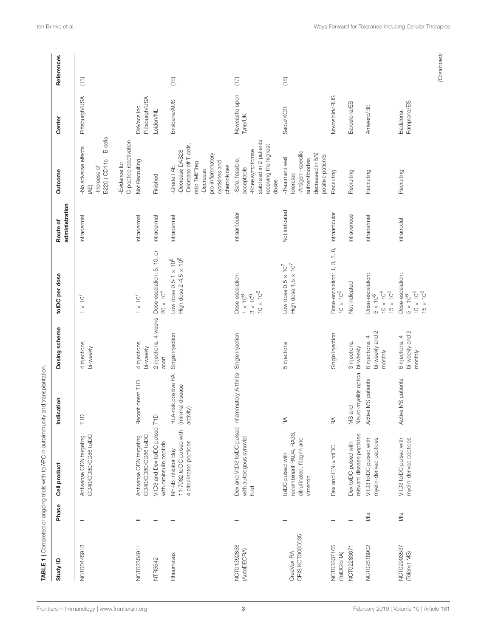|                               |               | TABLE 1   Completed or ongoing trials with tolAPC in autoimmunity and transplantation.                  |                                                       |                                               |                                                                         |                            |                                                                                                                                              |                                |            |
|-------------------------------|---------------|---------------------------------------------------------------------------------------------------------|-------------------------------------------------------|-----------------------------------------------|-------------------------------------------------------------------------|----------------------------|----------------------------------------------------------------------------------------------------------------------------------------------|--------------------------------|------------|
| Study ID                      | Phase         | Cell product                                                                                            | Indication                                            | Dosing scheme                                 | toIDC per dose                                                          | administration<br>Route of | Outcome                                                                                                                                      | Center                         | References |
| NCT00445913                   |               | CD40/CD80/CD86 toIDC<br>Antisense ODN targeting                                                         | $\supset$<br>$\overline{\vdash}$                      | 4 injections,<br>bi-weekly                    | $1\times10^7$                                                           | Intradermal                | B220+CD11c+B cells<br>-No adverse effects<br>-Increase of<br>(AE)                                                                            | Pittsburgh/USA                 | $(15)$     |
|                               |               |                                                                                                         |                                                       |                                               |                                                                         |                            | C-peptide reactivation<br>-Evidence for                                                                                                      |                                |            |
| NCT02354911                   | $\equiv$      | CD40/CD80/CD86 toIDC<br>Antisense ODN targeting                                                         | Recent onset T1D                                      | 4 injections,<br>bi-weekly                    | $1\times10^7$                                                           | Intradermal                | Not Recruiting                                                                                                                               | Pittsburgh/USA<br>DiaVacs Inc. |            |
| NTR5542                       |               | VitD3 and Dex toIDC pulsed T1D<br>with proinsulin peptide                                               |                                                       | 2 injections, 4 weeks<br>apart                | Dose-escalation: 5, 10, or<br>$20\times10^6$                            | Intradermal                | Finished                                                                                                                                     | Leiden/NL                      |            |
| Rheumavax                     |               | 11-7082 toIDC pulsed with<br>4 citrullinated peptides<br>NF-kB inhibitor Bay                            | HLA-risk positive RA<br>(minimal disease<br>activity) | Single injection                              | High dose $2-4.5 \times 10^6$<br>Low dose $0.5-1 \times 10^6$           | Intradermal                | -Decrease eff T cells,<br>-Decrease DAS28<br>pro-inflammatory<br>cytokines and<br>ratio Teff/Treg<br>-Grade   AE.<br>chemokines<br>-Decrease | Brisbane/AUS                   | (16)       |
| NCT01352858<br>(AutoDECRA)    |               | Dex and VitD3 toIDC pulsed Inflammatory Arthritis Single injection<br>with autologous synovial<br>fluid |                                                       |                                               | Dose-escalation:<br>$10\times10^6$<br>$3\times10^6$<br>$1\times10^6$    | Intraarticular             | stabilized in 2 patients<br>receiving the highest<br>-Knee symptomse<br>-Safe, feasible,<br>acceptable<br>doses                              | Newcastle upon<br>Tyne/UK      | (17)       |
| CRIS KCT0000035<br>CreaVax-RA |               | recombinant PAD4, RA33,<br>citrullinated, fillagrin and<br>toIDC pulsed with<br>vimentin                | ₫                                                     | 5 injections                                  | High dose $1.5 \times 10^7$<br>Low dose $0.5 \times 10^7$               | Not indicated              | -Antigen -specific<br>decreased in 5/9<br>positive patients<br>-Treatment well<br>autoantibodies<br>tolerated                                | Seoul/KOR                      | $(18)$     |
| NCT03337165<br>(TolDCfoRA)    |               | Dex and IFN-a toIDC                                                                                     | ₫                                                     | Single injection                              | Dose-escalation: 1, 3, 5, 8,<br>$10\times10^6$                          | Intraarticular             | Recruiting                                                                                                                                   | Novosibirk/RUS                 |            |
| NCT02283671                   |               | relevant disease peptides<br>Dex toIDC pulsed with                                                      | Neuro-myelitis optica<br>MS and                       | 3 injections,<br>bi-weekly                    | Not indicated                                                           | Intravenous                | Recruiting                                                                                                                                   | Barcelona/ES                   |            |
| NCT02618902                   | $\frac{1}{2}$ | myelin-derived peptides<br>VitD3 toIDC pulsed with                                                      | Active MS patients                                    | bi-weekly and 2<br>6 injections, 4<br>monthly | Dose-escalation:<br>$10\times10^6$<br>$15\times10^6$<br>$5\times10^6$   | Intradermal                | Recruiting                                                                                                                                   | Antwerp/BE                     |            |
| NCT02903537<br>(Tolervit-MS)  | $\frac{1}{2}$ | myelin-derived peptides<br>VitD3 toIDC pulsed with                                                      | Active MS patients                                    | bi-weekly and 2<br>6 injections, 4<br>monthly | Dose-escalation:<br>$10\times10^6$<br>$15 \times 10^6$<br>$5\times10^6$ | Intranodal                 | Recruiting                                                                                                                                   | Pamplona/ES<br>Badalona,       |            |

<span id="page-2-0"></span>TABLE 1 | Completed or ongoing trials with to/APC in autoimmunity and transplantation.

<sup>(</sup>Continued)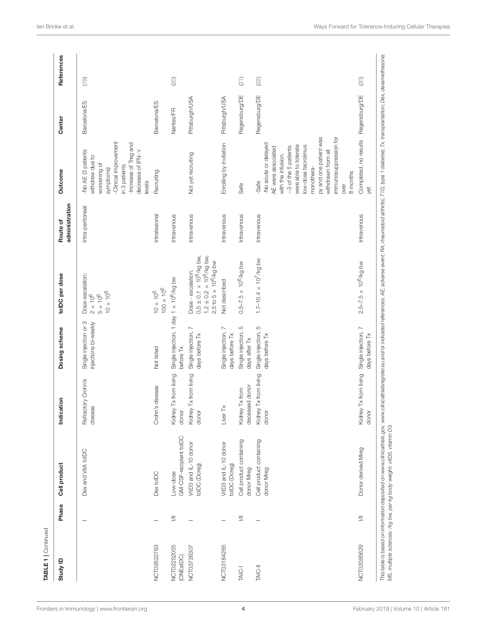| TABLE 1   Continued      |          |                                                                                                                                                                                                                                                                                                          |                                   |                                                                 |                                                                                                                                |                            |                                                                                                                                                                                                                                                              |                       |            |
|--------------------------|----------|----------------------------------------------------------------------------------------------------------------------------------------------------------------------------------------------------------------------------------------------------------------------------------------------------------|-----------------------------------|-----------------------------------------------------------------|--------------------------------------------------------------------------------------------------------------------------------|----------------------------|--------------------------------------------------------------------------------------------------------------------------------------------------------------------------------------------------------------------------------------------------------------|-----------------------|------------|
| Study ID                 | Phase    | Cell product                                                                                                                                                                                                                                                                                             | cation<br>Ī                       | Dosing scheme                                                   | toIDC per dose                                                                                                                 | administration<br>Route of | Outcome                                                                                                                                                                                                                                                      | Center                | References |
|                          |          | Dex and VitA toIDC                                                                                                                                                                                                                                                                                       | actory Crohn's<br>disease<br>Refr | Single injection or 3<br>injections bi-weekly                   | Dose-escalation:<br>$10\times10^6$<br>$5\times10^6$<br>$2\times10^6$                                                           | Intra-peritoneal           | Clinical improvement<br>Increase of Treg and<br>decrease of IFN-Y<br>-No AE (3 patients<br>withdrew due to<br>worsening of<br>in 3 patients<br>symptoms)<br>levels                                                                                           | <b>Barcelona/ES</b>   | (19)       |
| NCT02622763              |          | Dex toIDC                                                                                                                                                                                                                                                                                                | Crohn's disease                   | Not listed                                                      | $100 \times 10^6$<br>$10\times10^6$                                                                                            | Intralesional              | Recruiting                                                                                                                                                                                                                                                   | Barcelona/ES          |            |
| NCT02252055<br>(ONEatDC) | $\equiv$ | GM-CSF-recipient toIDC<br>Low-dose                                                                                                                                                                                                                                                                       | Kidney Tx from living<br>donor    | Single injection, 1 day 1 x 10 <sup>6</sup> /kg bw<br>before Tx |                                                                                                                                | Intravenous                |                                                                                                                                                                                                                                                              | Nantes/FR             | (20)       |
| NCT03726307              |          | VitD3 and IL-10 donor<br>toIDC (Dcreg)                                                                                                                                                                                                                                                                   | Kidney Tx from living<br>donor    | $\overline{ }$<br>Single injection,<br>days before Tx           | $0.5 \pm 0.1 \times 10^6$ /kg bw,<br>$1,2 \pm 0.2 \times 10^6$ /kg bw,<br>$2.5$ to $5 \times 10^6$ kg bw<br>Dose - escalation: | Intravenous                | Not yet recruiting                                                                                                                                                                                                                                           | <b>Pittsburgh/USA</b> |            |
| NCT03164265              |          | VitD3 and IL-10 donor<br>toIDC (Dcreg)                                                                                                                                                                                                                                                                   | Liver Tx                          | Single injection, 7<br>days before Tx                           | Not described                                                                                                                  | Intravenous                | Enrolling by invitation                                                                                                                                                                                                                                      | <b>Pittsburgh/USA</b> |            |
| TAIC-I                   | $\equiv$ | Cell product containing<br>donor Mreg                                                                                                                                                                                                                                                                    | deceased donor<br>Kidney Tx from  | LO<br>Single injection,<br>days after Tx                        | $0.5 - 7.5 \times 10^6$ /kg bw                                                                                                 | Intravenous                | Safe                                                                                                                                                                                                                                                         | Regensburg/DE         | (21)       |
| TAIC-II                  |          | Cell product containing<br>donor Mreg                                                                                                                                                                                                                                                                    | Kidney Tx from living<br>donor    | Single injection, 5<br>days before Tx                           | 1.7-10.4 $\times$ 10 <sup>7</sup> /kg bw                                                                                       | Intravenous                | py and one patient was<br>immunosuppression for<br>-No acute or delayed<br>were able to tolerate<br>low-dose tacrolimus<br>-3 of the 5 patients<br>AE were associated<br>withdrawn from all<br>with the infusion.<br>monothera-<br>8 months<br>-Safe<br>over | Regensburg/DE         | (22)       |
| NCT02085629              | $\equiv$ | Donor derived Mreg                                                                                                                                                                                                                                                                                       | Kidney Tx from living<br>donor    | Single injection, 7<br>days before Tx                           | $2.5 - 7.5 \times 10^6$ /kg bw                                                                                                 | Intravenous                | Completed, no results<br>yet                                                                                                                                                                                                                                 | Regensburg/DE         | (20)       |
|                          |          | This table is based on information deposited on www.iniviativals.gov, www.dinivaltivalsregister.eu and/or indicated references. AE, adverse event; RA, the unratioid arthritis; T10, type 1 diabetes; Tx, transplantation; Dex<br>MS, multiple sclerosis; /kg bw, per kg body weight; vitD3, vitamin D3. |                                   |                                                                 |                                                                                                                                |                            |                                                                                                                                                                                                                                                              |                       |            |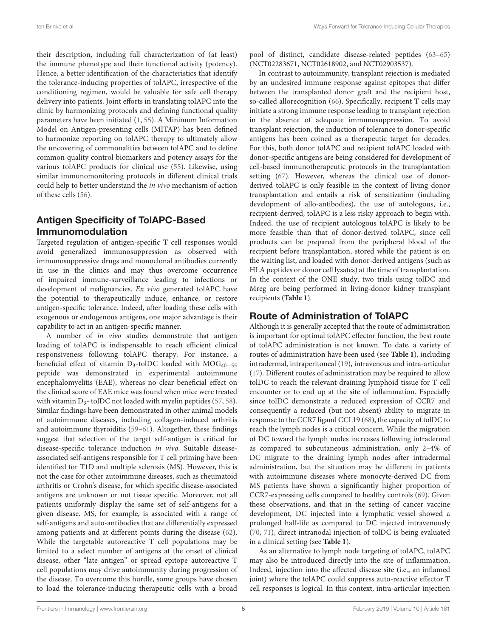their description, including full characterization of (at least) the immune phenotype and their functional activity (potency). Hence, a better identification of the characteristics that identify the tolerance-inducing properties of tolAPC, irrespective of the conditioning regimen, would be valuable for safe cell therapy delivery into patients. Joint efforts in translating tolAPC into the clinic by harmonizing protocols and defining functional quality parameters have been initiated [\(1,](#page-14-0) [55\)](#page-16-14). A Minimum Information Model on Antigen-presenting cells (MITAP) has been defined to harmonize reporting on tolAPC therapy to ultimately allow the uncovering of commonalities between tolAPC and to define common quality control biomarkers and potency assays for the various tolAPC products for clinical use [\(55\)](#page-16-14). Likewise, using similar immunomonitoring protocols in different clinical trials could help to better understand the in vivo mechanism of action of these cells [\(56\)](#page-16-15).

# Antigen Specificity of TolAPC-Based Immunomodulation

Targeted regulation of antigen-specific T cell responses would avoid generalized immunosuppression as observed with immunosuppressive drugs and monoclonal antibodies currently in use in the clinics and may thus overcome occurrence of impaired immune-surveillance leading to infections or development of malignancies. Ex vivo generated tolAPC have the potential to therapeutically induce, enhance, or restore antigen-specific tolerance. Indeed, after loading these cells with exogenous or endogenous antigens, one major advantage is their capability to act in an antigen-specific manner.

A number of in vivo studies demonstrate that antigen loading of tolAPC is indispensable to reach efficient clinical responsiveness following tolAPC therapy. For instance, a beneficial effect of vitamin D3-tolDC loaded with MOG40−<sup>55</sup> peptide was demonstrated in experimental autoimmune encephalomyelitis (EAE), whereas no clear beneficial effect on the clinical score of EAE mice was found when mice were treated with vitamin  $D_3$ - tolDC not loaded with myelin peptides [\(57,](#page-16-16) [58\)](#page-16-17). Similar findings have been demonstrated in other animal models of autoimmune diseases, including collagen-induced arthritis and autoimmune thyroiditis [\(59](#page-16-18)[–61\)](#page-16-19). Altogether, these findings suggest that selection of the target self-antigen is critical for disease-specific tolerance induction in vivo. Suitable diseaseassociated self-antigens responsible for T cell priming have been identified for T1D and multiple sclerosis (MS). However, this is not the case for other autoimmune diseases, such as rheumatoid arthritis or Crohn's disease, for which specific disease-associated antigens are unknown or not tissue specific. Moreover, not all patients uniformly display the same set of self-antigens for a given disease. MS, for example, is associated with a range of self-antigens and auto-antibodies that are differentially expressed among patients and at different points during the disease [\(62\)](#page-16-20). While the targetable autoreactive T cell populations may be limited to a select number of antigens at the onset of clinical disease, other "late antigen" or spread epitope autoreactive T cell populations may drive autoimmunity during progression of the disease. To overcome this hurdle, some groups have chosen to load the tolerance-inducing therapeutic cells with a broad pool of distinct, candidate disease-related peptides [\(63](#page-16-21)[–65\)](#page-16-22) (NCT02283671, NCT02618902, and NCT02903537).

In contrast to autoimmunity, transplant rejection is mediated by an undesired immune response against epitopes that differ between the transplanted donor graft and the recipient host, so-called allorecognition [\(66\)](#page-16-23). Specifically, recipient T cells may initiate a strong immune response leading to transplant rejection in the absence of adequate immunosuppression. To avoid transplant rejection, the induction of tolerance to donor-specific antigens has been coined as a therapeutic target for decades. For this, both donor tolAPC and recipient tolAPC loaded with donor-specific antigens are being considered for development of cell-based immunotherapeutic protocols in the transplantation setting [\(67\)](#page-16-24). However, whereas the clinical use of donorderived tolAPC is only feasible in the context of living donor transplantation and entails a risk of sensitization (including development of allo-antibodies), the use of autologous, i.e., recipient-derived, tolAPC is a less risky approach to begin with. Indeed, the use of recipient autologous tolAPC is likely to be more feasible than that of donor-derived tolAPC, since cell products can be prepared from the peripheral blood of the recipient before transplantation, stored while the patient is on the waiting list, and loaded with donor-derived antigens (such as HLA peptides or donor cell lysates) at the time of transplantation. In the context of the ONE study, two trials using tolDC and Mreg are being performed in living-donor kidney transplant recipients (**[Table 1](#page-2-0)**).

### Route of Administration of TolAPC

Although it is generally accepted that the route of administration is important for optimal tolAPC effector function, the best route of tolAPC administration is not known. To date, a variety of routes of administration have been used (see **[Table 1](#page-2-0)**), including intradermal, intraperitoneal [\(19\)](#page-15-30), intravenous and intra-articular [\(17\)](#page-15-28). Different routes of administration may be required to allow tolDC to reach the relevant draining lymphoid tissue for T cell encounter or to end up at the site of inflammation. Especially since tolDC demonstrate a reduced expression of CCR7 and consequently a reduced (but not absent) ability to migrate in response to the CCR7 ligand CCL19 [\(68\)](#page-16-25), the capacity of tolDC to reach the lymph nodes is a critical concern. While the migration of DC toward the lymph nodes increases following intradermal as compared to subcutaneous administration, only 2–4% of DC migrate to the draining lymph nodes after intradermal administration, but the situation may be different in patients with autoimmune diseases where monocyte-derived DC from MS patients have shown a significantly higher proportion of CCR7-expressing cells compared to healthy controls [\(69\)](#page-16-26). Given these observations, and that in the setting of cancer vaccine development, DC injected into a lymphatic vessel showed a prolonged half-life as compared to DC injected intravenously [\(70,](#page-16-27) [71\)](#page-16-28), direct intranodal injection of tolDC is being evaluated in a clinical setting (see **[Table 1](#page-2-0)**).

As an alternative to lymph node targeting of tolAPC, tolAPC may also be introduced directly into the site of inflammation. Indeed, injection into the affected disease site (i.e., an inflamed joint) where the tolAPC could suppress auto-reactive effector T cell responses is logical. In this context, intra-articular injection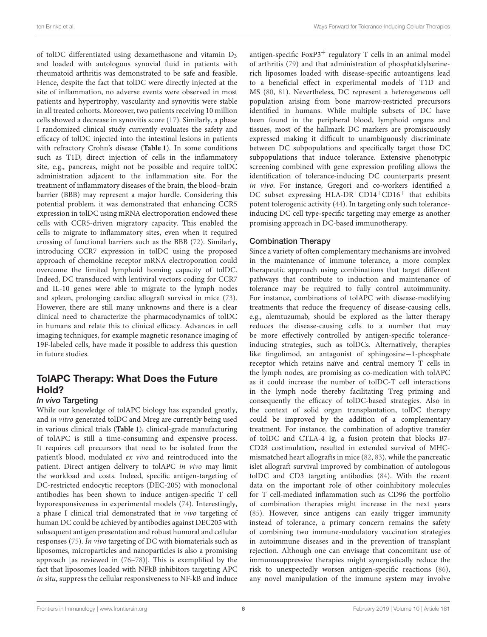of tolDC differentiated using dexamethasone and vitamin D<sub>3</sub> and loaded with autologous synovial fluid in patients with rheumatoid arthritis was demonstrated to be safe and feasible. Hence, despite the fact that tolDC were directly injected at the site of inflammation, no adverse events were observed in most patients and hypertrophy, vascularity and synovitis were stable in all treated cohorts. Moreover, two patients receiving 10 million cells showed a decrease in synovitis score [\(17\)](#page-15-28). Similarly, a phase I randomized clinical study currently evaluates the safety and efficacy of tolDC injected into the intestinal lesions in patients with refractory Crohn's disease (**[Table 1](#page-2-0)**). In some conditions such as T1D, direct injection of cells in the inflammatory site, e.g., pancreas, might not be possible and require tolDC administration adjacent to the inflammation site. For the treatment of inflammatory diseases of the brain, the blood–brain barrier (BBB) may represent a major hurdle. Considering this potential problem, it was demonstrated that enhancing CCR5 expression in tolDC using mRNA electroporation endowed these cells with CCR5-driven migratory capacity. This enabled the cells to migrate to inflammatory sites, even when it required crossing of functional barriers such as the BBB [\(72\)](#page-16-29). Similarly, introducing CCR7 expression in tolDC using the proposed approach of chemokine receptor mRNA electroporation could overcome the limited lymphoid homing capacity of tolDC. Indeed, DC transduced with lentiviral vectors coding for CCR7 and IL-10 genes were able to migrate to the lymph nodes and spleen, prolonging cardiac allograft survival in mice [\(73\)](#page-16-30). However, there are still many unknowns and there is a clear clinical need to characterize the pharmacodynamics of tolDC in humans and relate this to clinical efficacy. Advances in cell imaging techniques, for example magnetic resonance imaging of 19F-labeled cells, have made it possible to address this question in future studies.

#### TolAPC Therapy: What Does the Future Hold?

#### In vivo Targeting

While our knowledge of tolAPC biology has expanded greatly, and in vitro generated tolDC and Mreg are currently being used in various clinical trials (**[Table 1](#page-2-0)**), clinical-grade manufacturing of tolAPC is still a time-consuming and expensive process. It requires cell precursors that need to be isolated from the patient's blood, modulated ex vivo and reintroduced into the patient. Direct antigen delivery to tolAPC in vivo may limit the workload and costs. Indeed, specific antigen-targeting of DC-restricted endocytic receptors (DEC-205) with monoclonal antibodies has been shown to induce antigen-specific T cell hyporesponsiveness in experimental models [\(74\)](#page-17-0). Interestingly, a phase I clinical trial demonstrated that in vivo targeting of human DC could be achieved by antibodies against DEC205 with subsequent antigen presentation and robust humoral and cellular responses [\(75\)](#page-17-1). In vivo targeting of DC with biomaterials such as liposomes, microparticles and nanoparticles is also a promising approach [as reviewed in [\(76](#page-17-2)[–78\)](#page-17-3)]. This is exemplified by the fact that liposomes loaded with NFkB inhibitors targeting APC in situ, suppress the cellular responsiveness to NF-kB and induce antigen-specific Fox $P3$ <sup>+</sup> regulatory T cells in an animal model of arthritis [\(79\)](#page-17-4) and that administration of phosphatidylserinerich liposomes loaded with disease-specific autoantigens lead to a beneficial effect in experimental models of T1D and MS [\(80,](#page-17-5) [81\)](#page-17-6). Nevertheless, DC represent a heterogeneous cell population arising from bone marrow-restricted precursors identified in humans. While multiple subsets of DC have been found in the peripheral blood, lymphoid organs and tissues, most of the hallmark DC markers are promiscuously expressed making it difficult to unambiguously discriminate between DC subpopulations and specifically target those DC subpopulations that induce tolerance. Extensive phenotypic screening combined with gene expression profiling allows the identification of tolerance-inducing DC counterparts present in vivo. For instance, Gregori and co-workers identified a DC subset expressing HLA-DR<sup>+</sup>CD14<sup>+</sup>CD16<sup>+</sup> that exhibits potent tolerogenic activity [\(44\)](#page-16-3). In targeting only such toleranceinducing DC cell type-specific targeting may emerge as another promising approach in DC-based immunotherapy.

#### Combination Therapy

Since a variety of often complementary mechanisms are involved in the maintenance of immune tolerance, a more complex therapeutic approach using combinations that target different pathways that contribute to induction and maintenance of tolerance may be required to fully control autoimmunity. For instance, combinations of tolAPC with disease-modifying treatments that reduce the frequency of disease-causing cells, e.g., alemtuzumab, should be explored as the latter therapy reduces the disease-causing cells to a number that may be more effectively controlled by antigen-specific toleranceinducing strategies, such as tolDCs. Alternatively, therapies like fingolimod, an antagonist of sphingosine−1-phosphate receptor which retains naïve and central memory T cells in the lymph nodes, are promising as co-medication with tolAPC as it could increase the number of tolDC-T cell interactions in the lymph node thereby facilitating Treg priming and consequently the efficacy of tolDC-based strategies. Also in the context of solid organ transplantation, tolDC therapy could be improved by the addition of a complementary treatment. For instance, the combination of adoptive transfer of tolDC and CTLA-4 Ig, a fusion protein that blocks B7- CD28 costimulation, resulted in extended survival of MHCmismatched heart allografts in mice [\(82,](#page-17-7) [83\)](#page-17-8), while the pancreatic islet allograft survival improved by combination of autologous tolDC and CD3 targeting antibodies [\(84\)](#page-17-9). With the recent data on the important role of other coinhibitory molecules for T cell-mediated inflammation such as CD96 the portfolio of combination therapies might increase in the next years [\(85\)](#page-17-10). However, since antigens can easily trigger immunity instead of tolerance, a primary concern remains the safety of combining two immune-modulatory vaccination strategies in autoimmune diseases and in the prevention of transplant rejection. Although one can envisage that concomitant use of immunosuppressive therapies might synergistically reduce the risk to unexpectedly worsen antigen-specific reactions [\(86\)](#page-17-11), any novel manipulation of the immune system may involve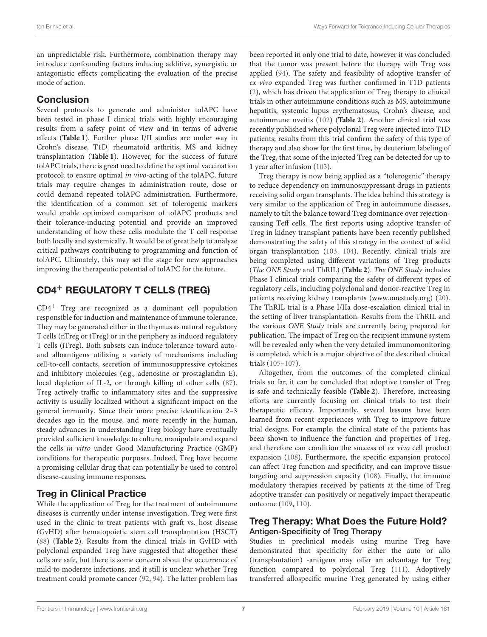an unpredictable risk. Furthermore, combination therapy may introduce confounding factors inducing additive, synergistic or antagonistic effects complicating the evaluation of the precise mode of action.

### **Conclusion**

Several protocols to generate and administer tolAPC have been tested in phase I clinical trials with highly encouraging results from a safety point of view and in terms of adverse effects (**[Table 1](#page-2-0)**). Further phase I/II studies are under way in Crohn's disease, T1D, rheumatoid arthritis, MS and kidney transplantation (**[Table 1](#page-2-0)**). However, for the success of future tolAPC trials, there is great need to define the optimal vaccination protocol; to ensure optimal in vivo-acting of the tolAPC, future trials may require changes in administration route, dose or could demand repeated tolAPC administration. Furthermore, the identification of a common set of tolerogenic markers would enable optimized comparison of tolAPC products and their tolerance-inducing potential and provide an improved understanding of how these cells modulate the T cell response both locally and systemically. It would be of great help to analyze critical pathways contributing to programming and function of tolAPC. Ultimately, this may set the stage for new approaches improving the therapeutic potential of tolAPC for the future.

# CD4<sup>+</sup> REGULATORY T CELLS (TREG)

 $CD4^+$  Treg are recognized as a dominant cell population responsible for induction and maintenance of immune tolerance. They may be generated either in the thymus as natural regulatory T cells (nTreg or tTreg) or in the periphery as induced regulatory T cells (iTreg). Both subsets can induce tolerance toward autoand alloantigens utilizing a variety of mechanisms including cell-to-cell contacts, secretion of immunosuppressive cytokines and inhibitory molecules (e.g., adenosine or prostaglandin E), local depletion of IL-2, or through killing of other cells [\(87\)](#page-17-12). Treg actively traffic to inflammatory sites and the suppressive activity is usually localized without a significant impact on the general immunity. Since their more precise identification 2–3 decades ago in the mouse, and more recently in the human, steady advances in understanding Treg biology have eventually provided sufficient knowledge to culture, manipulate and expand the cells in vitro under Good Manufacturing Practice (GMP) conditions for therapeutic purposes. Indeed, Treg have become a promising cellular drug that can potentially be used to control disease-causing immune responses.

# Treg in Clinical Practice

While the application of Treg for the treatment of autoimmune diseases is currently under intense investigation, Treg were first used in the clinic to treat patients with graft vs. host disease (GvHD) after hematopoietic stem cell transplantation (HSCT) [\(88\)](#page-17-13) (**[Table 2](#page-7-0)**). Results from the clinical trials in GvHD with polyclonal expanded Treg have suggested that altogether these cells are safe, but there is some concern about the occurrence of mild to moderate infections, and it still is unclear whether Treg treatment could promote cancer [\(92,](#page-17-14) [94\)](#page-17-15). The latter problem has been reported in only one trial to date, however it was concluded that the tumor was present before the therapy with Treg was applied [\(94\)](#page-17-15). The safety and feasibility of adoptive transfer of ex vivo expanded Treg was further confirmed in T1D patients [\(2\)](#page-14-1), which has driven the application of Treg therapy to clinical trials in other autoimmune conditions such as MS, autoimmune hepatitis, systemic lupus erythematosus, Crohn's disease, and autoimmune uveitis [\(102\)](#page-17-16) (**[Table 2](#page-7-0)**). Another clinical trial was recently published where polyclonal Treg were injected into T1D patients; results from this trial confirm the safety of this type of therapy and also show for the first time, by deuterium labeling of the Treg, that some of the injected Treg can be detected for up to 1 year after infusion [\(103\)](#page-17-17).

Treg therapy is now being applied as a "tolerogenic" therapy to reduce dependency on immunosuppressant drugs in patients receiving solid organ transplants. The idea behind this strategy is very similar to the application of Treg in autoimmune diseases, namely to tilt the balance toward Treg dominance over rejectioncausing Teff cells. The first reports using adoptive transfer of Treg in kidney transplant patients have been recently published demonstrating the safety of this strategy in the context of solid organ transplantation [\(103,](#page-17-17) [104\)](#page-17-18). Recently, clinical trials are being completed using different variations of Treg products (The ONE Study and ThRIL) (**[Table 2](#page-7-0)**). The ONE Study includes Phase I clinical trials comparing the safety of different types of regulatory cells, including polyclonal and donor-reactive Treg in patients receiving kidney transplants [\(www.onestudy.org\)](www.onestudy.org) [\(20\)](#page-15-31). The ThRIL trial is a Phase I/IIa dose-escalation clinical trial in the setting of liver transplantation. Results from the ThRIL and the various ONE Study trials are currently being prepared for publication. The impact of Treg on the recipient immune system will be revealed only when the very detailed immunomonitoring is completed, which is a major objective of the described clinical trials [\(105](#page-17-19)[–107\)](#page-17-20).

Altogether, from the outcomes of the completed clinical trials so far, it can be concluded that adoptive transfer of Treg is safe and technically feasible (**[Table 2](#page-7-0)**). Therefore, increasing efforts are currently focusing on clinical trials to test their therapeutic efficacy. Importantly, several lessons have been learned from recent experiences with Treg to improve future trial designs. For example, the clinical state of the patients has been shown to influence the function and properties of Treg, and therefore can condition the success of ex vivo cell product expansion [\(108\)](#page-17-21). Furthermore, the specific expansion protocol can affect Treg function and specificity, and can improve tissue targeting and suppression capacity [\(108\)](#page-17-21). Finally, the immune modulatory therapies received by patients at the time of Treg adoptive transfer can positively or negatively impact therapeutic outcome [\(109,](#page-17-22) [110\)](#page-17-23).

#### Treg Therapy: What Does the Future Hold? Antigen-Specificity of Treg Therapy

Studies in preclinical models using murine Treg have demonstrated that specificity for either the auto or allo (transplantation) -antigens may offer an advantage for Treg function compared to polyclonal Treg [\(111\)](#page-18-0). Adoptively transferred allospecific murine Treg generated by using either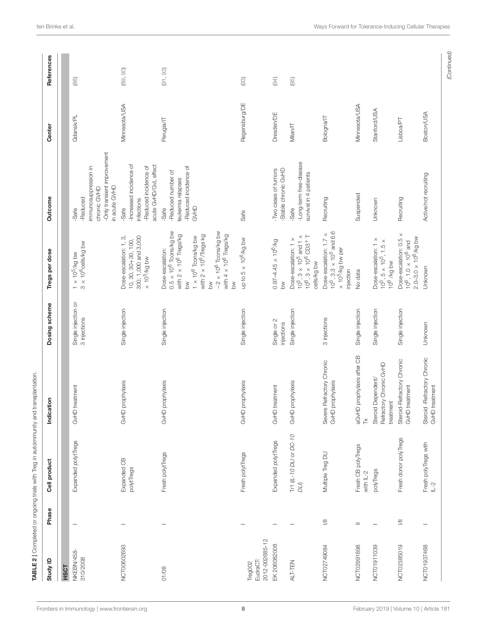|                                       |          | TABLE 2   Completed or ongoing trials with Treg in autoimmunity and transplantation. |                                                            |                                     |                                                                                                                                                                                                                                                    |                                                                                                           |                     |            |
|---------------------------------------|----------|--------------------------------------------------------------------------------------|------------------------------------------------------------|-------------------------------------|----------------------------------------------------------------------------------------------------------------------------------------------------------------------------------------------------------------------------------------------------|-----------------------------------------------------------------------------------------------------------|---------------------|------------|
| Study ID                              | Phase    | Cell product                                                                         | Indication                                                 | Dosing scheme                       | Tregs per dose                                                                                                                                                                                                                                     | Outcome                                                                                                   | Center              | References |
| HSCT                                  |          |                                                                                      |                                                            |                                     |                                                                                                                                                                                                                                                    |                                                                                                           |                     |            |
| <b>NKEBN/458-</b><br>310/2008         |          | Expanded polytTregs                                                                  | GvHD treatment                                             | Single injection or<br>3 injections | $3 \times 10^6$ cells/kg bw<br>$1 \times 10^5$ /kg bw                                                                                                                                                                                              | -Only transient improvement<br>immunosuppression in<br>in acute GVHD<br>chronic GVHD<br>-Reduced<br>-Safe | Gdansk/PL           | $^{(88)}$  |
| NCT00602693                           |          | Expanded CB<br>polytTregs                                                            | GvHD prophylaxis                                           | Single injection                    | 300, 1,000 and 3,000<br>Dose-escalation: 1, 3,<br>$10, 30, 30 + 30, 100,$<br>$\times$ 10 <sup>5</sup> /kg bw                                                                                                                                       | -Increased incidence of<br>acute GvHD/GvL effect<br>-Reduced incidence of<br>infections<br>-Safe          | Minnesota/USA       | (89, 90)   |
| 01/08                                 |          | Fresh polytTregs                                                                     | GvHD prophylaxis                                           | Single injection                    | $0.5 \times 10^6$ Toons/kg bw<br>$-2 \times 10^6$ Toons/kg bw<br>with $2 \times 10^6$ Tregs/kg<br>with $2 \times 10^6$ /Tregs kg<br>with $4 \times 10^6$ Tregs/kg<br>$1 \times 10^6$ Toons/kg bw<br>Dose-escalation:<br>$\geq$<br>$\geq$<br>$\geq$ | -Reduced incidence of<br>-Reduced number of<br>leukemia relapses<br>GVHD<br>-Safe                         | Perugia/IT          | (91, 92)   |
| 2012-002685-12<br>EudraCT:<br>Treg002 |          | Fresh polytTregs                                                                     | GvHD prophylaxis                                           | Single injection                    | up to $5 \times 10^6$ /kg bw                                                                                                                                                                                                                       | Safe                                                                                                      | Regensburg/DE       | (93)       |
| EK 206082008                          |          | Expanded polytTregs                                                                  | GvHD treatment                                             | Single or 2<br>injections           | $0.97 - 4.45 \times 10^6$ /kg<br>$\gtrapprox$                                                                                                                                                                                                      | -Two cases of tumors<br>-Stable chronic GvHD                                                              | <b>Dresden/DE</b>   | (94)       |
| ALT-TEN                               |          | Tr1 (/L-10 DL/ or DC-10<br>DЦ                                                        | GvHD prophylaxis                                           | Single injection                    | Dose-escalation: 1 $\times$<br>10 <sup>5</sup> , 3 $\times$ 10 <sup>5</sup> and 1 $\times$<br>10 <sup>6</sup> , 3 $\times$ 10 <sup>6</sup> CD3 <sup>+</sup> T<br>cells/kg bw                                                                       | -Long-term free-disease<br>survival in 4 patients<br>-Safe                                                | Milan/IT            | $(95)$     |
| NCT02749084                           | $\equiv$ | Multiple Treg DLI                                                                    | Severe Refractory Chronic<br>GvHD prophylaxis              | 3 injections                        | $10^5$ , $3.3 \times 10^5$ and 6.6<br>Dose-escalation: 1.7 x<br>$\times$ 10 <sup>5</sup> /kg bw per<br>injection                                                                                                                                   | Recruiting                                                                                                | Bologna/IT          |            |
| NCT02991898                           | $=$      | Fresh CB polyTregs<br>with $IL-2$                                                    | aGvHD prophylaxis after CB<br>$\stackrel{\times}{\vdash}$  | Single injection                    | No data                                                                                                                                                                                                                                            | Suspended                                                                                                 | Minnesota/USA       |            |
| NCT01911039                           |          | polyTregs                                                                            | Refractory Chronic GvHD<br>Steroid Dependent/<br>treatment | Single injection                    | Dose-escalation: 1 x<br>$10^5$ , $5 \times 10^5$ , $1.5 \times 10^6$ /kg bw                                                                                                                                                                        | Unknown                                                                                                   | <b>Stanford/USA</b> |            |
| NCT02385019                           | $\equiv$ | Fresh donor polyTregs                                                                | Steroid-Refractory Chronic<br>GvHD treatment               | Single injection                    | Dose-escalation: 0.5 x<br>$2.0 - 3.0 \times 10^6$ /kg bw<br>$10^6$ , $1.0 \times 10^6$ and                                                                                                                                                         | Recruiting                                                                                                | Lisboa/PT           |            |
| NCT01937468                           |          | Fresh polyTregs with<br>$\mathbb{L}^2$                                               | Steroid-Refractory Chronic<br>GvHD treatment               | Unknown                             | Unknown                                                                                                                                                                                                                                            | Active/not recruiting                                                                                     | <b>Boston/USA</b>   |            |

(Continued)

<span id="page-7-0"></span>TABLE 2 | Completed or ongoing trials with Treg in autoimmunity and transplantation.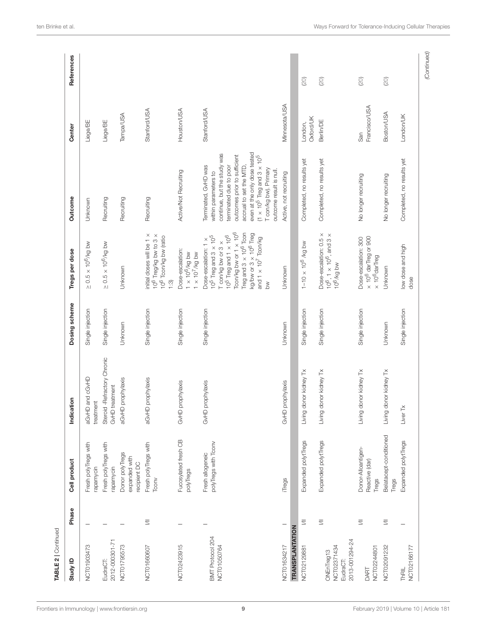| <b>TABLE 2   Continued</b>                              |          |                                                  |                                              |                  |                                                                                                                                                                                                                                                                          |                                                                                                                                                                                                                                                                                                  |                      |             |
|---------------------------------------------------------|----------|--------------------------------------------------|----------------------------------------------|------------------|--------------------------------------------------------------------------------------------------------------------------------------------------------------------------------------------------------------------------------------------------------------------------|--------------------------------------------------------------------------------------------------------------------------------------------------------------------------------------------------------------------------------------------------------------------------------------------------|----------------------|-------------|
| Study ID                                                | Phase    | Cell product                                     | Indication                                   | Dosing scheme    | Tregs per dose                                                                                                                                                                                                                                                           | Outcome                                                                                                                                                                                                                                                                                          | Center               | References  |
| NCT01903473                                             |          | Fresh polyTregs with<br>rapamycin                | aGvHD and cGvHD<br>treatment                 | Single injection | $\geq$ 0.5 $\times$ 10 <sup>6</sup> /kg bw                                                                                                                                                                                                                               | Unknown                                                                                                                                                                                                                                                                                          | Liege/BE             |             |
| 2012-000301-71<br>EudraCT:                              |          | Fresh polyTregs with<br>rapamycin                | Steroid-Refractory Chronic<br>GvHD treatment | Single injection | $\geq$ 0.5 $\times$ 10 <sup>6</sup> /kg bw                                                                                                                                                                                                                               | Recruiting                                                                                                                                                                                                                                                                                       | Liege/BE             |             |
| NCT01795573                                             |          | Donor polyTregs<br>expanded with<br>recipient DC | aGvHD prophylaxis                            | Unknown          | Unknown                                                                                                                                                                                                                                                                  | Recruiting                                                                                                                                                                                                                                                                                       | Tampa/USA            |             |
| NCT01660607                                             | $\equiv$ | Fresh polyTregs with<br>Toony                    | aGvHD prophylaxis                            | Single injection | initial doses will be 1 x<br>10 <sup>6</sup> Treg/kg bw to 3 x<br>10 <sup>6</sup> Tcon/kg bw (ratio<br>1:3                                                                                                                                                               | Recruiting                                                                                                                                                                                                                                                                                       | Stanford/USA         |             |
| NCT02423915                                             |          | Fucosylated fresh CB<br>polyTregs                | GvHD prophylaxis                             | Single injection | Dose-escalation:<br>$1 \times 10^6$ /kg bw<br>$1 \times 10^7$ /kg bw                                                                                                                                                                                                     | Active/Not Recruiting                                                                                                                                                                                                                                                                            | Houston/USA          |             |
| BMT Protocol 204<br>NCT01050764                         |          | polyTregs with Tconv<br>Fresh allogeneic         | GvHD prophylaxis                             | Single injection | Tcon/kg bw or 1 x 10 <sup>6</sup><br>Treg and 3 x 10 <sup>6</sup> Toon<br>kg/bw or 3 x 10 <sup>6</sup> Treg<br>$10^5$ Treg and $1 \times 10^6$<br>$10^5$ Treg and $3 \times 10^5$<br>and $1 \times 10^7$ Tcon/kg<br>Dose-escalation: 1 x<br>T con/kg bw or 3 x<br>$\geq$ | even at the only dose tested<br>continue, but the study was<br>outcomes prior to sufficient<br>$(1 \times 10^5$ Treg and $3 \times 10^5$<br>accrual to set the MTD,<br>Terminated, GvHD was<br>terminated due to poor<br>Toon/kg bw). Primary<br>outcome result is null.<br>within parameters to | <b>Stanford/USA</b>  |             |
| NCT01634217                                             |          | iTregs                                           | GvHD prophylaxis                             | Unknown          | Unknown                                                                                                                                                                                                                                                                  | Active, not recruiting                                                                                                                                                                                                                                                                           | <b>Minnesota/USA</b> |             |
| <b><i>TRANSPLANTATION</i></b>                           |          |                                                  |                                              |                  |                                                                                                                                                                                                                                                                          |                                                                                                                                                                                                                                                                                                  |                      |             |
| NCT02129881                                             | $\equiv$ | Expanded polytTregs                              | Living donor kidney Tx                       | Single injection | $1-10 \times 10^6$ /kg bw                                                                                                                                                                                                                                                | Completed, no results yet                                                                                                                                                                                                                                                                        | Oxford/UK<br>London, | (20)        |
| 2013-001294-24<br>NCT02371434<br>ONEnTreg13<br>EudraCT: | $\equiv$ | Expanded polytTregs                              | Living donor kidney Tx                       | Single injection | Dose-escalation: 0.5 x<br>$10^6$ , 1 $\times$ $10^6$ , and 3 $\times$<br>10 <sup>6</sup> /kg bw                                                                                                                                                                          | Completed, no results yet                                                                                                                                                                                                                                                                        | Berlin/DE            | $(20)$      |
| NCT02244801<br>DART                                     | $\equiv$ | Donor-Alloantigen-<br>Reactive (dar)<br>Tregs    | Living donor kidney Tx                       | Single injection | $\times$ 10 <sup>6</sup> darTreg or 900<br>Dose-escalation: 300<br>$\times 10^6$ darTreg                                                                                                                                                                                 | No longer recruiting                                                                                                                                                                                                                                                                             | Francisco/USA<br>San | (20)        |
| NCT02091232                                             | $\equiv$ | Belatacept-conditioned<br>Tregs                  | Living donor kidney Tx                       | Unknown          | Unknown                                                                                                                                                                                                                                                                  | No longer recruiting                                                                                                                                                                                                                                                                             | Boston/USA           | $(20)$      |
| NCT02166177<br>ThRIL                                    |          | Expanded polytTregs                              | Liver Tx                                     | Single injection | low dose and high<br>dose                                                                                                                                                                                                                                                | Completed, no results yet                                                                                                                                                                                                                                                                        | London/UK            |             |
|                                                         |          |                                                  |                                              |                  |                                                                                                                                                                                                                                                                          |                                                                                                                                                                                                                                                                                                  |                      | (Continued) |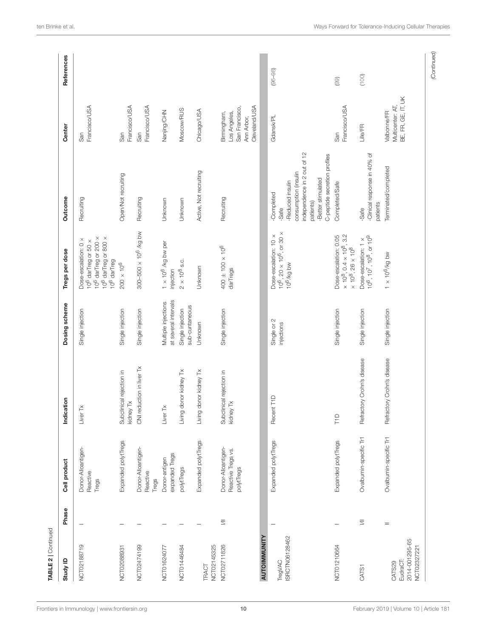| TABLE 2   Continued                                 |                          |                                                        |                                       |                                             |                                                                                                                                                            |                                                                                                                                                                   |                                                                             |             |
|-----------------------------------------------------|--------------------------|--------------------------------------------------------|---------------------------------------|---------------------------------------------|------------------------------------------------------------------------------------------------------------------------------------------------------------|-------------------------------------------------------------------------------------------------------------------------------------------------------------------|-----------------------------------------------------------------------------|-------------|
| Study ID                                            | Phase                    | Cell product                                           | ication<br>Ī                          | Dosing scheme                               | Tregs per dose                                                                                                                                             | Outcome                                                                                                                                                           | Center                                                                      | References  |
| NCT02188719                                         |                          | Donor-Alloantigen-<br>Reactive<br>Tregs                | Liver Tx                              | Single injection                            | 10 <sup>6</sup> darTreg or 200 x<br>10 <sup>6</sup> darTreg or 800 x<br>Dose-escalation: 0 x<br>10 <sup>6</sup> darTreg or 50 x<br>10 <sup>6</sup> darTreg | Recruiting                                                                                                                                                        | Francisco/USA<br>San                                                        |             |
| NCT02088931                                         |                          | Expanded polytTregs                                    | Subclinical rejection in<br>kidney Tx | Single injection                            | $200 \times 10^6$                                                                                                                                          | Open/Not recruiting                                                                                                                                               | Francisco/USA<br>San                                                        |             |
| NCT02474199                                         |                          | Donor-Alloantigen-<br>Reactive<br>Tregs                | reduction in liver Tx<br><b>ND</b>    | Single injection                            | $300-500 \times 10^6$ /kg bw                                                                                                                               | Recruiting                                                                                                                                                        | Francisco/USA<br>San                                                        |             |
| NCT01624077                                         |                          | expanded Tregs<br>Donor-antigen                        | Liver Tx                              | at several intervals<br>Multiple injections | $1 \times 10^6$ /kg bw per<br>injection                                                                                                                    | Unknown                                                                                                                                                           | Nanjing/CHN                                                                 |             |
| NCT01446484                                         |                          | polytTregs                                             | Living donor kidney Tx                | sub-cuntaneous<br>Single injection          | $2 \times 10^8$ s.c.                                                                                                                                       | Unknown                                                                                                                                                           | Moscow/RUS                                                                  |             |
| NCT02145325<br>TRACT                                |                          | Expanded polytTregs                                    | ng donor kidney Tx<br>Livir           | Unknown                                     | Unknown                                                                                                                                                    | Active, Not recruiting                                                                                                                                            | <b>Chicago/USA</b>                                                          |             |
| NCT02711826                                         | $\equiv$                 | Donor-Alloantigen-<br>Reactive Tregs vs.<br>polytTregs | Subdinical rejection in<br>kidney Tx  | Single injection                            | $400\pm100\times10^6$<br>darTregs                                                                                                                          | Recruiting                                                                                                                                                        | Cleveland/USA<br>San Francisco,<br>Los Angeles,<br>Bimingham,<br>Ann Arbor, |             |
| AUTOIMMUNITY                                        |                          |                                                        |                                       |                                             |                                                                                                                                                            |                                                                                                                                                                   |                                                                             |             |
| ISRCTN06128462<br>TregVAC                           | $\overline{\phantom{0}}$ | Expanded polytTregs                                    | Recent T <sub>1</sub> D               | Single or 2<br>injections                   | $10^6$ , 20 $\times$ 10 <sup>6</sup> , or 30 $\times$<br>10 <sup>6</sup> /kg bw<br>Dose-escalation: 10 x                                                   | independence in 2 out of 12<br>C-peptide secretion profiles<br>consumption (insulin<br>-Better stimulated<br>-Reduced insulin<br>-Completed<br>patients)<br>-Safe | <b>Gdansk/PL</b>                                                            | $(96 - 98)$ |
| NCT01210664                                         | -                        | Expanded polytTregs                                    | 유                                     | Single injection                            | $\times$ 10 <sup>8</sup> , 0.4 $\times$ 10 <sup>8</sup> , 3.2<br>$\times$ 10 <sup>8</sup> , 26 $\times$ 10 <sup>8</sup><br>Dose-escalation: 0.05           | Completed/Safe                                                                                                                                                    | Francisco/USA<br>San                                                        | (99)        |
| CATS1                                               | $\equiv$                 | Ovalbumin-specific Tr1                                 | Refractory Crohn's disease            | Single injection                            | $10^6, 10^7, 10^8, or 10^9$<br>Dose-escalation: 1 x                                                                                                        | -Clinical response in 40% of<br>patients<br>-Safe                                                                                                                 | Lille/FR                                                                    | (100)       |
| 2014-001295-65<br>NCT02327221<br>EudraCT:<br>CATS29 | $=$                      | Ovalbumin-specific Tr1                                 | Refractory Crohn's disease            | Single injection                            | $1 \times 10^6$ /kg bw                                                                                                                                     | Terminated/completed                                                                                                                                              | BE, FR, GE, IT, UK<br>Multicenter: AT,<br>Valbonne/FR                       |             |
|                                                     |                          |                                                        |                                       |                                             |                                                                                                                                                            |                                                                                                                                                                   |                                                                             | (Continued) |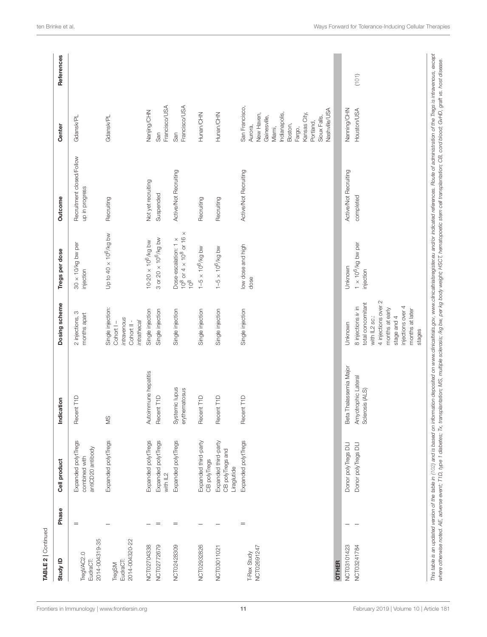| Study ID                                 | Phase    | Cell product                                              | Indication                                                       | Dosing scheme                                                                                                                                                                  | Tregs per dose                                                               | Outcome                                     | Center                                                                                                                                                                | References |
|------------------------------------------|----------|-----------------------------------------------------------|------------------------------------------------------------------|--------------------------------------------------------------------------------------------------------------------------------------------------------------------------------|------------------------------------------------------------------------------|---------------------------------------------|-----------------------------------------------------------------------------------------------------------------------------------------------------------------------|------------|
| 2014-004319-35<br>TregVAC2.0<br>EudraCT: | $=$      | Expanded polytTregs<br>antiCD20 antibody<br>combined with | Recent T <sub>1</sub> D                                          | 2 injections, 3<br>months apart                                                                                                                                                | $30 \times 10$ /kg bw per<br>injection                                       | Recruitment closed/Follow<br>up in progress | Gdansk/PL                                                                                                                                                             |            |
| 2014-004320-22<br>EudraCT:<br>TregSM     |          | Expanded polytTregs                                       | SM                                                               | Single injection:<br>intravenous<br>intrathecal<br>Cohort II -<br>Cohort I -                                                                                                   | Up to $40 \times 10^6$ /kg bw                                                | Recruiting                                  | Gdansk/PL                                                                                                                                                             |            |
| NCT02704338<br>NCT02772679               | $=$<br>- | Expanded polytTregs<br>Expanded polytTregs<br>with IL2    | Autoimmune hepatitis<br>Recent T <sub>1</sub> D                  | Single injection<br>Single injection                                                                                                                                           | $3$ or 20 $\times$ 10 <sup>6</sup> /kg bw<br>$10-20 \times 10^6$ /kg bw      | Not yet recruiting<br>Suspended             | Francisco/USA<br>Nanjing/CHN<br>San                                                                                                                                   |            |
| NCT02428309                              | $=$      | Expanded polytTregs                                       | Systemic lupus<br>erythematosus                                  | Single injection                                                                                                                                                               | $10^8$ or 4 $\times$ $10^8$ or 16 $\times$<br>Dose-escalation: 1 x<br>$10^8$ | Active/Not Recruiting                       | Francisco/USA<br>San                                                                                                                                                  |            |
| NCT02932826                              |          | Expanded third-party<br>CB polyTregs                      | Recent T <sub>1</sub> D                                          | Single injection                                                                                                                                                               | $1-5 \times 10^6$ /kg bw                                                     | Recruiting                                  | Hunan/CHN                                                                                                                                                             |            |
| NCT03011021                              |          | Expanded third-party<br>CB polyTregs and<br>Liraglutide   | Recent T <sub>1</sub> D                                          | Single injection                                                                                                                                                               | $1-5 \times 10^6$ /kg bw                                                     | Recruiting                                  | Hunan/CHN                                                                                                                                                             |            |
| NCT02691247<br>T-Rex Study               | $=$      | Expanded polytTregs                                       | Recent T <sub>1</sub> D                                          | Single injection                                                                                                                                                               | low dose and high<br>dose                                                    | Active/Not Recruiting                       | San Francisco,<br>Nashville/USA<br>Kansas City,<br>Indianapolis,<br>New Haven,<br>Sioux Falls,<br>Gainesville,<br>Portland,<br>Boston,<br>Aurora,<br>Miami,<br>Fargo, |            |
| <b>OTHER</b>                             |          |                                                           |                                                                  |                                                                                                                                                                                |                                                                              |                                             |                                                                                                                                                                       |            |
| NCT03101423<br>NCT03241784               |          | Donor polyTregs DLI<br>Donor polyTregs DLI                | Beta Thalassemia Major<br>Amyotrophic Lateral<br>Sclerosis (ALS) | 4 injections over 2<br>total concomitant<br>injections over 4<br>8 injections iv in<br>months at early<br>months at later<br>stage and 4<br>with IL2 sc.:<br>Unknown<br>stages | $1 \times 10^6$ /kg bw per<br>Unknown<br>injection                           | Active/Not Recruiting<br>completed          | Nanning/CHN<br>Houston/USA                                                                                                                                            | (101)      |

TABLE 2 | Continued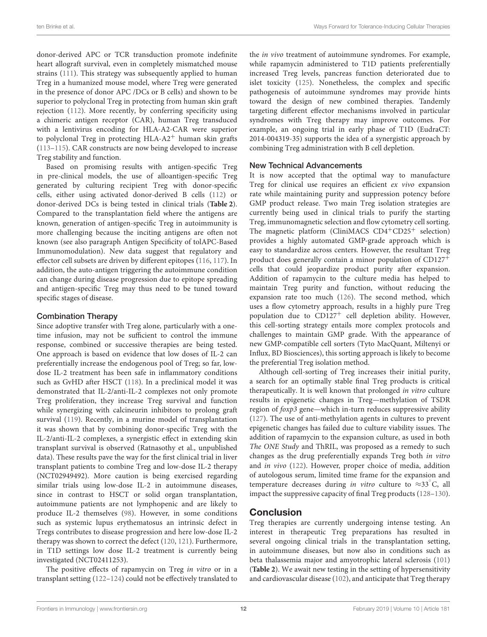donor-derived APC or TCR transduction promote indefinite heart allograft survival, even in completely mismatched mouse strains [\(111\)](#page-18-0). This strategy was subsequently applied to human Treg in a humanized mouse model, where Treg were generated in the presence of donor APC /DCs or B cells) and shown to be superior to polyclonal Treg in protecting from human skin graft rejection [\(112\)](#page-18-1). More recently, by conferring specificity using a chimeric antigen receptor (CAR), human Treg transduced with a lentivirus encoding for HLA-A2-CAR were superior to polyclonal Treg in protecting HLA-A2<sup>+</sup> human skin grafts [\(113–](#page-18-2)[115\)](#page-18-3). CAR constructs are now being developed to increase Treg stability and function.

Based on promising results with antigen-specific Treg in pre-clinical models, the use of alloantigen-specific Treg generated by culturing recipient Treg with donor-specific cells, either using activated donor-derived B cells [\(112\)](#page-18-1) or donor-derived DCs is being tested in clinical trials (**[Table 2](#page-7-0)**). Compared to the transplantation field where the antigens are known, generation of antigen-specific Treg in autoimmunity is more challenging because the inciting antigens are often not known (see also paragraph Antigen Specificity of tolAPC-Based Immunomodulation). New data suggest that regulatory and effector cell subsets are driven by different epitopes [\(116,](#page-18-4) [117\)](#page-18-5). In addition, the auto-antigen triggering the autoimmune condition can change during disease progression due to epitope spreading and antigen-specific Treg may thus need to be tuned toward specific stages of disease.

#### Combination Therapy

Since adoptive transfer with Treg alone, particularly with a onetime infusion, may not be sufficient to control the immune response, combined or successive therapies are being tested. One approach is based on evidence that low doses of IL-2 can preferentially increase the endogenous pool of Treg; so far, lowdose IL-2 treatment has been safe in inflammatory conditions such as GvHD after HSCT [\(118\)](#page-18-6). In a preclinical model it was demonstrated that IL-2/anti-IL-2 complexes not only promote Treg proliferation, they increase Treg survival and function while synergizing with calcineurin inhibitors to prolong graft survival [\(119\)](#page-18-7). Recently, in a murine model of transplantation it was shown that by combining donor-specific Treg with the IL-2/anti-IL-2 complexes, a synergistic effect in extending skin transplant survival is observed (Ratnasothy et al., unpublished data). These results pave the way for the first clinical trial in liver transplant patients to combine Treg and low-dose IL-2 therapy (NCT02949492). More caution is being exercised regarding similar trials using low-dose IL-2 in autoimmune diseases, since in contrast to HSCT or solid organ transplantation, autoimmune patients are not lymphopenic and are likely to produce IL-2 themselves [\(98\)](#page-17-30). However, in some conditions such as systemic lupus erythematosus an intrinsic defect in Tregs contributes to disease progression and here low-dose IL-2 therapy was shown to correct the defect [\(120,](#page-18-8) [121\)](#page-18-9). Furthermore, in T1D settings low dose IL-2 treatment is currently being investigated (NCT02411253).

The positive effects of rapamycin on Treg in vitro or in a transplant setting [\(122–](#page-18-10)[124\)](#page-18-11) could not be effectively translated to the in vivo treatment of autoimmune syndromes. For example, while rapamycin administered to T1D patients preferentially increased Treg levels, pancreas function deteriorated due to islet toxicity [\(125\)](#page-18-12). Nonetheless, the complex and specific pathogenesis of autoimmune syndromes may provide hints toward the design of new combined therapies. Tandemly targeting different effector mechanisms involved in particular syndromes with Treg therapy may improve outcomes. For example, an ongoing trial in early phase of T1D (EudraCT: 2014-004319-35) supports the idea of a synergistic approach by combining Treg administration with B cell depletion.

#### New Technical Advancements

It is now accepted that the optimal way to manufacture Treg for clinical use requires an efficient ex vivo expansion rate while maintaining purity and suppression potency before GMP product release. Two main Treg isolation strategies are currently being used in clinical trials to purify the starting Treg, immunomagnetic selection and flow cytometry cell sorting. The magnetic platform (CliniMACS  $CD4+CD25+$  selection) provides a highly automated GMP-grade approach which is easy to standardize across centers. However, the resultant Treg product does generally contain a minor population of CD127<sup>+</sup> cells that could jeopardize product purity after expansion. Addition of rapamycin to the culture media has helped to maintain Treg purity and function, without reducing the expansion rate too much [\(126\)](#page-18-13). The second method, which uses a flow cytometry approach, results in a highly pure Treg population due to  $CD127<sup>+</sup>$  cell depletion ability. However, this cell-sorting strategy entails more complex protocols and challenges to maintain GMP grade. With the appearance of new GMP-compatible cell sorters (Tyto MacQuant, Miltenyi or Influx, BD Biosciences), this sorting approach is likely to become the preferential Treg isolation method.

Although cell-sorting of Treg increases their initial purity, a search for an optimally stable final Treg products is critical therapeutically. It is well known that prolonged in vitro culture results in epigenetic changes in Treg—methylation of TSDR region of foxp3 gene—which in-turn reduces suppressive ability [\(127\)](#page-18-14). The use of anti-methylation agents in cultures to prevent epigenetic changes has failed due to culture viability issues. The addition of rapamycin to the expansion culture, as used in both The ONE Study and ThRIL, was proposed as a remedy to such changes as the drug preferentially expands Treg both in vitro and in vivo [\(122\)](#page-18-10). However, proper choice of media, addition of autologous serum, limited time frame for the expansion and temperature decreases during in vitro culture to  $\approx 33^{\circ}$ C, all impact the suppressive capacity of final Treg products [\(128](#page-18-15)[–130\)](#page-18-16).

### Conclusion

Treg therapies are currently undergoing intense testing. An interest in therapeutic Treg preparations has resulted in several ongoing clinical trials in the transplantation setting, in autoimmune diseases, but now also in conditions such as beta thalassemia major and amyotrophic lateral sclerosis [\(101\)](#page-17-33) (**[Table 2](#page-7-0)**). We await new testing in the setting of hypersensitivity and cardiovascular disease [\(102\)](#page-17-16), and anticipate that Treg therapy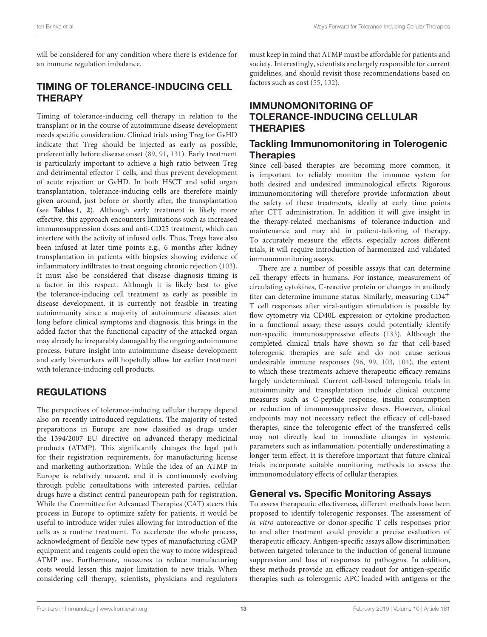will be considered for any condition where there is evidence for an immune regulation imbalance.

### TIMING OF TOLERANCE-INDUCING CELL **THERAPY**

Timing of tolerance-inducing cell therapy in relation to the transplant or in the course of autoimmune disease development needs specific consideration. Clinical trials using Treg for GvHD indicate that Treg should be injected as early as possible, preferentially before disease onset [\(89,](#page-17-24) [91,](#page-17-26) [131\)](#page-18-17). Early treatment is particularly important to achieve a high ratio between Treg and detrimental effector T cells, and thus prevent development of acute rejection or GvHD. In both HSCT and solid organ transplantation, tolerance-inducing cells are therefore mainly given around, just before or shortly after, the transplantation (see **[Tables 1](#page-2-0)**, **[2](#page-7-0)**). Although early treatment is likely more effective, this approach encounters limitations such as increased immunosuppression doses and anti-CD25 treatment, which can interfere with the activity of infused cells. Thus, Tregs have also been infused at later time points e.g., 6 months after kidney transplantation in patients with biopsies showing evidence of inflammatory infiltrates to treat ongoing chronic rejection [\(103\)](#page-17-17). It must also be considered that disease diagnosis timing is a factor in this respect. Although it is likely best to give the tolerance-inducing cell treatment as early as possible in disease development, it is currently not feasible in treating autoimmunity since a majority of autoimmune diseases start long before clinical symptoms and diagnosis, this brings in the added factor that the functional capacity of the attacked organ may already be irreparably damaged by the ongoing autoimmune process. Future insight into autoimmune disease development and early biomarkers will hopefully allow for earlier treatment with tolerance-inducing cell products.

# REGULATIONS

The perspectives of tolerance-inducing cellular therapy depend also on recently introduced regulations. The majority of tested preparations in Europe are now classified as drugs under the 1394/2007 EU directive on advanced therapy medicinal products (ATMP). This significantly changes the legal path for their registration requirements, for manufacturing license and marketing authorization. While the idea of an ATMP in Europe is relatively nascent, and it is continuously evolving through public consultations with interested parties, cellular drugs have a distinct central paneuropean path for registration. While the Committee for Advanced Therapies (CAT) steers this process in Europe to optimize safety for patients, it would be useful to introduce wider rules allowing for introduction of the cells as a routine treatment. To accelerate the whole process, acknowledgment of flexible new types of manufacturing cGMP equipment and reagents could open the way to more widespread ATMP use. Furthermore, measures to reduce manufacturing costs would lessen this major limitation to new trials. When considering cell therapy, scientists, physicians and regulators must keep in mind that ATMP must be affordable for patients and society. Interestingly, scientists are largely responsible for current guidelines, and should revisit those recommendations based on factors such as cost [\(55,](#page-16-14) [132\)](#page-18-18).

### IMMUNOMONITORING OF TOLERANCE-INDUCING CELLULAR **THERAPIES**

### Tackling Immunomonitoring in Tolerogenic **Therapies**

Since cell-based therapies are becoming more common, it is important to reliably monitor the immune system for both desired and undesired immunological effects. Rigorous immunomonitoring will therefore provide information about the safety of these treatments, ideally at early time points after CTT administration. In addition it will give insight in the therapy-related mechanisms of tolerance-induction and maintenance and may aid in patient-tailoring of therapy. To accurately measure the effects, especially across different trials, it will require introduction of harmonized and validated immunomonitoring assays.

There are a number of possible assays that can determine cell therapy effects in humans. For instance, measurement of circulating cytokines, C-reactive protein or changes in antibody titer can determine immune status. Similarly, measuring  $CD4^+$ T cell responses after viral-antigen stimulation is possible by flow cytometry via CD40L expression or cytokine production in a functional assay; these assays could potentially identify non-specific immunosuppressive effects [\(133\)](#page-18-19). Although the completed clinical trials have shown so far that cell-based tolerogenic therapies are safe and do not cause serious undesirable immune responses [\(96,](#page-17-29) [99,](#page-17-31) [103,](#page-17-17) [104\)](#page-17-18), the extent to which these treatments achieve therapeutic efficacy remains largely undetermined. Current cell-based tolerogenic trials in autoimmunity and transplantation include clinical outcome measures such as C-peptide response, insulin consumption or reduction of immunosuppressive doses. However, clinical endpoints may not necessary reflect the efficacy of cell-based therapies, since the tolerogenic effect of the transferred cells may not directly lead to immediate changes in systemic parameters such as inflammation, potentially underestimating a longer term effect. It is therefore important that future clinical trials incorporate suitable monitoring methods to assess the immunomodulatory effects of cellular therapies.

# General vs. Specific Monitoring Assays

To assess therapeutic effectiveness, different methods have been proposed to identify tolerogenic responses. The assessment of in vitro autoreactive or donor-specific T cells responses prior to and after treatment could provide a precise evaluation of therapeutic efficacy. Antigen-specific assays allow discrimination between targeted tolerance to the induction of general immune suppression and loss of responses to pathogens. In addition, these methods provide an efficacy readout for antigen-specific therapies such as tolerogenic APC loaded with antigens or the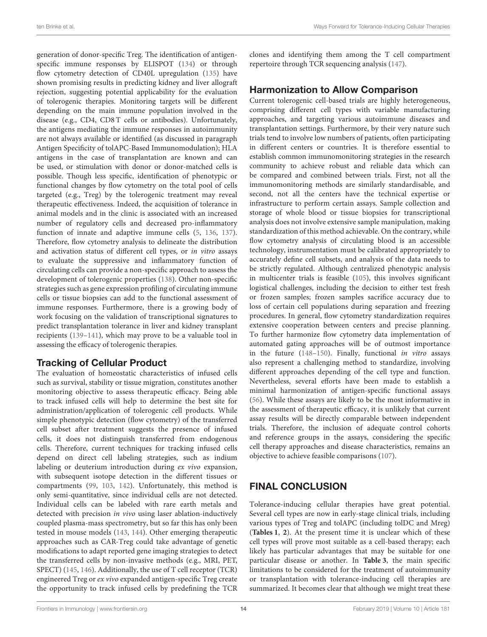generation of donor-specific Treg. The identification of antigenspecific immune responses by ELISPOT [\(134\)](#page-18-20) or through flow cytometry detection of CD40L upregulation [\(135\)](#page-18-21) have shown promising results in predicting kidney and liver allograft rejection, suggesting potential applicability for the evaluation of tolerogenic therapies. Monitoring targets will be different depending on the main immune population involved in the disease (e.g., CD4, CD8 T cells or antibodies). Unfortunately, the antigens mediating the immune responses in autoimmunity are not always available or identified (as discussed in paragraph Antigen Specificity of tolAPC-Based Immunomodulation); HLA antigens in the case of transplantation are known and can be used, or stimulation with donor or donor-matched cells is possible. Though less specific, identification of phenotypic or functional changes by flow cytometry on the total pool of cells targeted (e.g., Treg) by the tolerogenic treatment may reveal therapeutic effectiveness. Indeed, the acquisition of tolerance in animal models and in the clinic is associated with an increased number of regulatory cells and decreased pro-inflammatory function of innate and adaptive immune cells [\(5,](#page-15-3) [136,](#page-18-22) [137\)](#page-18-23). Therefore, flow cytometry analysis to delineate the distribution and activation status of different cell types, or in vitro assays to evaluate the suppressive and inflammatory function of circulating cells can provide a non-specific approach to assess the development of tolerogenic properties [\(138\)](#page-18-24). Other non-specific strategies such as gene expression profiling of circulating immune cells or tissue biopsies can add to the functional assessment of immune responses. Furthermore, there is a growing body of work focusing on the validation of transcriptional signatures to predict transplantation tolerance in liver and kidney transplant recipients [\(139](#page-18-25)[–141\)](#page-18-26), which may prove to be a valuable tool in assessing the efficacy of tolerogenic therapies.

#### Tracking of Cellular Product

The evaluation of homeostatic characteristics of infused cells such as survival, stability or tissue migration, constitutes another monitoring objective to assess therapeutic efficacy. Being able to track infused cells will help to determine the best site for administration/application of tolerogenic cell products. While simple phenotypic detection (flow cytometry) of the transferred cell subset after treatment suggests the presence of infused cells, it does not distinguish transferred from endogenous cells. Therefore, current techniques for tracking infused cells depend on direct cell labeling strategies, such as indium labeling or deuterium introduction during ex vivo expansion, with subsequent isotope detection in the different tissues or compartments [\(99,](#page-17-31) [103,](#page-17-17) [142\)](#page-18-27). Unfortunately, this method is only semi-quantitative, since individual cells are not detected. Individual cells can be labeled with rare earth metals and detected with precision in vivo using laser ablation-inductively coupled plasma-mass spectrometry, but so far this has only been tested in mouse models [\(143,](#page-18-28) [144\)](#page-18-29). Other emerging therapeutic approaches such as CAR-Treg could take advantage of genetic modifications to adapt reported gene imaging strategies to detect the transferred cells by non-invasive methods (e.g., MRI, PET, SPECT) [\(145,](#page-19-0) [146\)](#page-19-1). Additionally, the use of T cell receptor (TCR) engineered Treg or ex vivo expanded antigen-specific Treg create the opportunity to track infused cells by predefining the TCR clones and identifying them among the T cell compartment repertoire through TCR sequencing analysis [\(147\)](#page-19-2).

#### Harmonization to Allow Comparison

Current tolerogenic cell-based trials are highly heterogeneous, comprising different cell types with variable manufacturing approaches, and targeting various autoimmune diseases and transplantation settings. Furthermore, by their very nature such trials tend to involve low numbers of patients, often participating in different centers or countries. It is therefore essential to establish common immunomonitoring strategies in the research community to achieve robust and reliable data which can be compared and combined between trials. First, not all the immunomonitoring methods are similarly standardisable, and second, not all the centers have the technical expertise or infrastructure to perform certain assays. Sample collection and storage of whole blood or tissue biopsies for transcriptional analysis does not involve extensive sample manipulation, making standardization of this method achievable. On the contrary, while flow cytometry analysis of circulating blood is an accessible technology, instrumentation must be calibrated appropriately to accurately define cell subsets, and analysis of the data needs to be strictly regulated. Although centralized phenotypic analysis in multicenter trials is feasible [\(105\)](#page-17-19), this involves significant logistical challenges, including the decision to either test fresh or frozen samples; frozen samples sacrifice accuracy due to loss of certain cell populations during separation and freezing procedures. In general, flow cytometry standardization requires extensive cooperation between centers and precise planning. To further harmonize flow cytometry data implementation of automated gating approaches will be of outmost importance in the future [\(148](#page-19-3)[–150\)](#page-19-4). Finally, functional in vitro assays also represent a challenging method to standardize, involving different approaches depending of the cell type and function. Nevertheless, several efforts have been made to establish a minimal harmonization of antigen-specific functional assays [\(56\)](#page-16-15). While these assays are likely to be the most informative in the assessment of therapeutic efficacy, it is unlikely that current assay results will be directly comparable between independent trials. Therefore, the inclusion of adequate control cohorts and reference groups in the assays, considering the specific cell therapy approaches and disease characteristics, remains an objective to achieve feasible comparisons [\(107\)](#page-17-20).

# FINAL CONCLUSION

Tolerance-inducing cellular therapies have great potential. Several cell types are now in early-stage clinical trials, including various types of Treg and tolAPC (including tolDC and Mreg) (**[Tables 1](#page-2-0)**, **[2](#page-7-0)**). At the present time it is unclear which of these cell types will prove most suitable as a cell-based therapy; each likely has particular advantages that may be suitable for one particular disease or another. In **[Table 3](#page-14-2)**, the main specific limitations to be considered for the treatment of autoimmunity or transplantation with tolerance-inducing cell therapies are summarized. It becomes clear that although we might treat these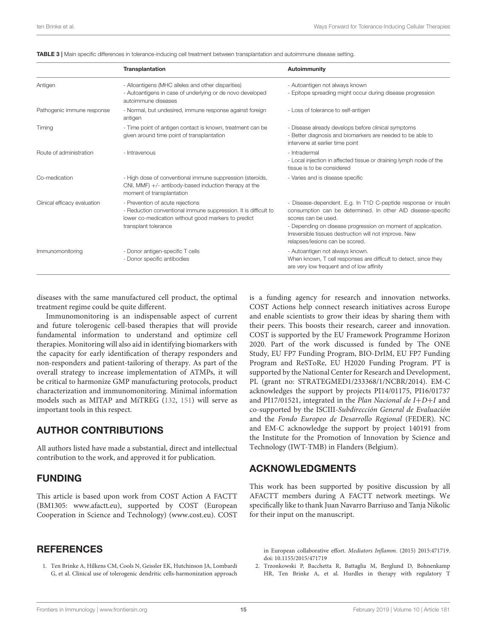|                              | <b>Transplantation</b>                                                                                                                                                             | Autoimmunity                                                                                                                                                                                                                                                                                                       |
|------------------------------|------------------------------------------------------------------------------------------------------------------------------------------------------------------------------------|--------------------------------------------------------------------------------------------------------------------------------------------------------------------------------------------------------------------------------------------------------------------------------------------------------------------|
| Antigen                      | - Alloantigens (MHC alleles and other disparities)<br>- Autoantigens in case of underlying or de novo developed<br>autoimmune diseases                                             | - Autoantigen not always known<br>- Epitope spreading might occur during disease progression                                                                                                                                                                                                                       |
| Pathogenic immune response   | - Normal, but undesired, immune response against foreign<br>antigen                                                                                                                | - Loss of tolerance to self-antigen                                                                                                                                                                                                                                                                                |
| Timing                       | - Time point of antigen contact is known, treatment can be<br>given around time point of transplantation                                                                           | - Disease already develops before clinical symptoms<br>- Better diagnosis and biomarkers are needed to be able to<br>intervene at earlier time point                                                                                                                                                               |
| Route of administration      | - Intravenous                                                                                                                                                                      | - Intradermal<br>- Local injection in affected tissue or draining lymph node of the<br>tissue is to be considered                                                                                                                                                                                                  |
| Co-medication                | - High dose of conventional immune suppression (steroids,<br>CNI, MMF) $+/-$ antibody-based induction therapy at the<br>moment of transplantation                                  | - Varies and is disease specific                                                                                                                                                                                                                                                                                   |
| Clinical efficacy evaluation | - Prevention of acute rejections<br>- Reduction conventional immune suppression. It is difficult to<br>lower co-medication without good markers to predict<br>transplant tolerance | - Disease-dependent. E.g. In T1D C-peptide response or insulin<br>consumption can be determined. In other AID disease-specific<br>scores can be used.<br>- Depending on disease progression on moment of application.<br>Irreversible tissues destruction will not improve. New<br>relapses/lesions can be scored. |
| Immunomonitoring             | - Donor antigen-specific T cells<br>- Donor specific antibodies                                                                                                                    | - Autoantigen not always known.<br>When known, T cell responses are difficult to detect, since they<br>are very low frequent and of low affinity                                                                                                                                                                   |

<span id="page-14-2"></span>TABLE 3 | Main specific differences in tolerance-inducing cell treatment between transplantation and autoimmune disease setting.

diseases with the same manufactured cell product, the optimal treatment regime could be quite different.

Immunomonitoring is an indispensable aspect of current and future tolerogenic cell-based therapies that will provide fundamental information to understand and optimize cell therapies. Monitoring will also aid in identifying biomarkers with the capacity for early identification of therapy responders and non-responders and patient-tailoring of therapy. As part of the overall strategy to increase implementation of ATMPs, it will be critical to harmonize GMP manufacturing protocols, product characterization and immunomonitoring. Minimal information models such as MITAP and MiTREG [\(132,](#page-18-18) [151\)](#page-19-5) will serve as important tools in this respect.

### AUTHOR CONTRIBUTIONS

All authors listed have made a substantial, direct and intellectual contribution to the work, and approved it for publication.

#### FUNDING

This article is based upon work from COST Action A FACTT (BM1305: [www.afactt.eu\)](www.afactt.eu), supported by COST (European Cooperation in Science and Technology) [\(www.cost.eu\)](www.cost.eu). COST

#### **REFERENCES**

<span id="page-14-0"></span>1. Ten Brinke A, Hilkens CM, Cools N, Geissler EK, Hutchinson JA, Lombardi G, et al. Clinical use of tolerogenic dendritic cells-harmonization approach is a funding agency for research and innovation networks. COST Actions help connect research initiatives across Europe and enable scientists to grow their ideas by sharing them with their peers. This boosts their research, career and innovation. COST is supported by the EU Framework Programme Horizon 2020. Part of the work discussed is funded by The ONE Study, EU FP7 Funding Program, BIO-DrIM, EU FP7 Funding Program and ReSToRe, EU H2020 Funding Program. PT is supported by the National Center for Research and Development, PL (grant no: STRATEGMED1/233368/1/NCBR/2014). EM-C acknowledges the support by projects PI14/01175, PI16/01737 and PI17/01521, integrated in the Plan Nacional de  $I+D+I$  and co-supported by the ISCIII-Subdirección General de Evaluación and the Fondo Europeo de Desarrollo Regional (FEDER). NC and EM-C acknowledge the support by project 140191 from the Institute for the Promotion of Innovation by Science and Technology (IWT-TMB) in Flanders (Belgium).

#### ACKNOWLEDGMENTS

This work has been supported by positive discussion by all AFACTT members during A FACTT network meetings. We specifically like to thank Juan Navarro Barriuso and Tanja Nikolic for their input on the manuscript.

in European collaborative effort. Mediators Inflamm. (2015) 2015:471719. doi: [10.1155/2015/471719](https://doi.org/10.1155/2015/471719)

<span id="page-14-1"></span>2. Trzonkowski P, Bacchetta R, Battaglia M, Berglund D, Bohnenkamp HR, Ten Brinke A, et al. Hurdles in therapy with regulatory T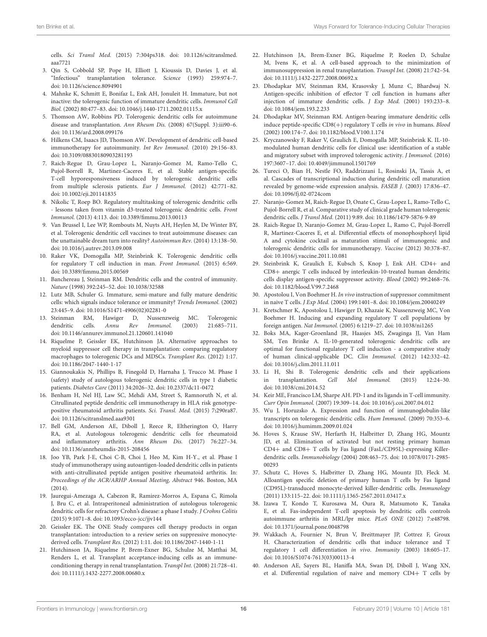cells. Sci Transl Med. [\(2015\) 7:304ps318. doi: 10.1126/scitranslmed.](https://doi.org/10.1126/scitranslmed.aaa7721) aaa7721

- <span id="page-15-0"></span>3. Qin S, Cobbold SP, Pope H, Elliott J, Kioussis D, Davies J, et al. "Infectious" transplantation tolerance. Science (1993) 259:974–7. doi: [10.1126/science.8094901](https://doi.org/10.1126/science.8094901)
- <span id="page-15-1"></span>4. Mahnke K, Schmitt E, Bonifaz L, Enk AH, Jonuleit H. Immature, but not inactive: the tolerogenic function of immature dendritic cells. Immunol Cell Biol. (2002) 80:477–83. doi: [10.1046/j.1440-1711.2002.01115.x](https://doi.org/10.1046/j.1440-1711.2002.01115.x)
- <span id="page-15-3"></span>5. Thomson AW, Robbins PD. Tolerogenic dendritic cells for autoimmune disease and transplantation. Ann Rheum Dis. (2008) 67(Suppl. 3):iii90–6. doi: [10.1136/ard.2008.099176](https://doi.org/10.1136/ard.2008.099176)
- 6. Hilkens CM, Isaacs JD, Thomson AW. Development of dendritic cell-based immunotherapy for autoimmunity. Int Rev Immunol. (2010) 29:156–83. doi: [10.3109/08830180903281193](https://doi.org/10.3109/08830180903281193)
- <span id="page-15-25"></span>7. Raich-Regue D, Grau-Lopez L, Naranjo-Gomez M, Ramo-Tello C, Pujol-Borrell R, Martinez-Caceres E, et al. Stable antigen-specific T-cell hyporesponsiveness induced by tolerogenic dendritic cells from multiple sclerosis patients. Eur J Immunol. (2012) 42:771–82. doi: [10.1002/eji.201141835](https://doi.org/10.1002/eji.201141835)
- 8. Nikolic T, Roep BO. Regulatory multitasking of tolerogenic dendritic cells - lessons taken from vitamin d3-treated tolerogenic dendritic cells. Front Immunol. (2013) 4:113. doi: [10.3389/fimmu.2013.00113](https://doi.org/10.3389/fimmu.2013.00113)
- <span id="page-15-10"></span>9. Van Brussel I, Lee WP, Rombouts M, Nuyts AH, Heylen M, De Winter BY, et al. Tolerogenic dendritic cell vaccines to treat autoimmune diseases: can the unattainable dream turn into reality? Autoimmun Rev. (2014) 13:138–50. doi: [10.1016/j.autrev.2013.09.008](https://doi.org/10.1016/j.autrev.2013.09.008)
- <span id="page-15-2"></span>10. Raker VK, Domogalla MP, Steinbrink K. Tolerogenic dendritic cells for regulatory T cell induction in man. Front Immunol. (2015) 6:569. doi: [10.3389/fimmu.2015.00569](https://doi.org/10.3389/fimmu.2015.00569)
- <span id="page-15-4"></span>11. Banchereau J, Steinman RM. Dendritic cells and the control of immunity. Nature (1998) 392:245–52. doi: [10.1038/32588](https://doi.org/10.1038/32588)
- 12. Lutz MB, Schuler G. Immature, semi-mature and fully mature dendritic cells: which signals induce tolerance or immunity? Trends Immunol. (2002) 23:445–9. doi: [10.1016/S1471-4906\(02\)02281-0](https://doi.org/10.1016/S1471-4906(02)02281-0)
- 13. Steinman RM, Hawiger D, Nussenzweig MC. Tolerogenic dendritic cells. Annu Rev Immunol. (2003) 21:685–711. doi: [10.1146/annurev.immunol.21.120601.141040](https://doi.org/10.1146/annurev.immunol.21.120601.141040)
- <span id="page-15-5"></span>14. Riquelme P, Geissler EK, Hutchinson JA. Alternative approaches to myeloid suppressor cell therapy in transplantation: comparing regulatory macrophages to tolerogenic DCs and MDSCs. Transplant Res. (2012) 1:17. doi: [10.1186/2047-1440-1-17](https://doi.org/10.1186/2047-1440-1-17)
- <span id="page-15-26"></span>15. Giannoukakis N, Phillips B, Finegold D, Harnaha J, Trucco M. Phase I (safety) study of autologous tolerogenic dendritic cells in type 1 diabetic patients. Diabetes Care (2011) 34:2026–32. doi: [10.2337/dc11-0472](https://doi.org/10.2337/dc11-0472)
- <span id="page-15-27"></span>16. Benham H, Nel HJ, Law SC, Mehdi AM, Street S, Ramnoruth N, et al. Citrullinated peptide dendritic cell immunotherapy in HLA risk genotypepositive rheumatoid arthritis patients. Sci. Transl. Med. (2015) 7**:**290ra87. doi: [10.1126/scitranslmed.aaa9301](https://doi.org/10.1126/scitranslmed.aaa9301)
- <span id="page-15-28"></span>17. Bell GM, Anderson AE, Diboll J, Reece R, Eltherington O, Harry RA, et al. Autologous tolerogenic dendritic cells for rheumatoid and inflammatory arthritis. Ann Rheum Dis. (2017) 76:227–34. doi: [10.1136/annrheumdis-2015-208456](https://doi.org/10.1136/annrheumdis-2015-208456)
- <span id="page-15-29"></span>18. Joo YB, Park J-E, Choi C-B, Choi J, Heo M, Kim H-Y., et al. Phase I study of immunotherapy using autoantigen-loaded dendritic cells in patients with anti-citrullinated peptide antigen positive rheumatoid arthritis. In: Proceedings of the ACR/ARHP Annual Meeting, Abstract 946. Boston, MA (2014).
- <span id="page-15-30"></span>19. Jauregui-Amezaga A, Cabezon R, Ramirez-Morros A, Espana C, Rimola J, Bru C, et al. Intraperitoneal administration of autologous tolerogenic dendritic cells for refractory Crohn's disease: a phase I study. J Crohns Colitis (2015) 9:1071–8. doi: [10.1093/ecco-jcc/jjv144](https://doi.org/10.1093/ecco-jcc/jjv144)
- <span id="page-15-31"></span>20. Geissler EK. The ONE Study compares cell therapy products in organ transplantation: introduction to a review series on suppressive monocytederived cells. Transplant Res. (2012) 1:11. doi: [10.1186/2047-1440-1-11](https://doi.org/10.1186/2047-1440-1-11)
- <span id="page-15-32"></span>21. Hutchinson JA, Riquelme P, Brem-Exner BG, Schulze M, Matthai M, Renders L, et al. Transplant acceptance-inducing cells as an immuneconditioning therapy in renal transplantation. Transpl Int. (2008) 21:728–41. doi: [10.1111/j.1432-2277.2008.00680.x](https://doi.org/10.1111/j.1432-2277.2008.00680.x)
- <span id="page-15-33"></span>22. Hutchinson JA, Brem-Exner BG, Riquelme P, Roelen D, Schulze M, Ivens K, et al. A cell-based approach to the minimization of immunosuppression in renal transplantation. Transpl Int. (2008) 21:742–54. doi: [10.1111/j.1432-2277.2008.00692.x](https://doi.org/10.1111/j.1432-2277.2008.00692.x)
- <span id="page-15-6"></span>23. Dhodapkar MV, Steinman RM, Krasovsky J, Munz C, Bhardwaj N. Antigen-specific inhibition of effector T cell function in humans after injection of immature dendritic cells. J Exp Med. (2001) 193:233–8. doi: [10.1084/jem.193.2.233](https://doi.org/10.1084/jem.193.2.233)
- <span id="page-15-7"></span>24. Dhodapkar MV, Steinman RM. Antigen-bearing immature dendritic cells induce peptide-specific CD8(+) regulatory T cells in vivo in humans. Blood (2002) 100:174–7. doi: [10.1182/blood.V100.1.174](https://doi.org/10.1182/blood.V100.1.174)
- <span id="page-15-8"></span>25. Kryczanowsky F, Raker V, Graulich E, Domogalla MP, Steinbrink K. IL-10 modulated human dendritic cells for clinical use: identification of a stable and migratory subset with improved tolerogenic activity. J Immunol. (2016) 197:3607–17. doi: [10.4049/jimmunol.1501769](https://doi.org/10.4049/jimmunol.1501769)
- <span id="page-15-9"></span>26. Tureci O, Bian H, Nestle FO, Raddrizzani L, Rosinski JA, Tassis A, et al. Cascades of transcriptional induction during dendritic cell maturation revealed by genome-wide expression analysis. FASEB J. (2003) 17:836–47. doi: [10.1096/fj.02-0724com](https://doi.org/10.1096/fj.02-0724com)
- <span id="page-15-11"></span>27. Naranjo-Gomez M, Raich-Regue D, Onate C, Grau-Lopez L, Ramo-Tello C, Pujol-Borrell R, et al. Comparative study of clinical grade human tolerogenic dendritic cells. J Transl Med. (2011) 9:89. doi: [10.1186/1479-5876-9-89](https://doi.org/10.1186/1479-5876-9-89)
- <span id="page-15-12"></span>28. Raich-Regue D, Naranjo-Gomez M, Grau-Lopez L, Ramo C, Pujol-Borrell R, Martinez-Caceres E, et al. Differential effects of monophosphoryl lipid A and cytokine cocktail as maturation stimuli of immunogenic and tolerogenic dendritic cells for immunotherapy. Vaccine (2012) 30:378–87. doi: [10.1016/j.vaccine.2011.10.081](https://doi.org/10.1016/j.vaccine.2011.10.081)
- <span id="page-15-13"></span>29. Steinbrink K, Graulich E, Kubsch S, Knop J, Enk AH. CD4+ and CD8+ anergic T cells induced by interleukin-10-treated human dendritic cells display antigen-specific suppressor activity. Blood (2002) 99:2468–76. doi: [10.1182/blood.V99.7.2468](https://doi.org/10.1182/blood.V99.7.2468)
- <span id="page-15-14"></span>30. Apostolou I, Von Boehmer H. In vivo instruction of suppressor commitment in naive T cells. J Exp Med. (2004) 199:1401–8. doi: [10.1084/jem.20040249](https://doi.org/10.1084/jem.20040249)
- <span id="page-15-15"></span>31. Kretschmer K, Apostolou I, Hawiger D, Khazaie K, Nussenzweig MC, Von Boehmer H. Inducing and expanding regulatory T cell populations by foreign antigen. Nat Immunol. (2005) 6:1219–27. doi: [10.1038/ni1265](https://doi.org/10.1038/ni1265)
- <span id="page-15-16"></span>32. Boks MA, Kager-Groenland JR, Haasjes MS, Zwaginga JJ, Van Ham SM, Ten Brinke A. IL-10-generated tolerogenic dendritic cells are optimal for functional regulatory T cell induction - a comparative study of human clinical-applicable DC. Clin Immunol. (2012) 142:332–42. doi: [10.1016/j.clim.2011.11.011](https://doi.org/10.1016/j.clim.2011.11.011)
- <span id="page-15-17"></span>33. Li H, Shi B. Tolerogenic dendritic cells and their applications in transplantation. Cell Mol Immunol. (2015) 12:24–30. doi: [10.1038/cmi.2014.52](https://doi.org/10.1038/cmi.2014.52)
- <span id="page-15-18"></span>34. Keir ME, Francisco LM, Sharpe AH. PD-1 and its ligands in T-cell immunity. Curr Opin Immunol. (2007) 19:309–14. doi: [10.1016/j.coi.2007.04.012](https://doi.org/10.1016/j.coi.2007.04.012)
- <span id="page-15-19"></span>35. Wu J, Horuzsko A. Expression and function of immunoglobulin-like transcripts on tolerogenic dendritic cells. Hum Immunol. (2009) 70:353–6. doi: [10.1016/j.humimm.2009.01.024](https://doi.org/10.1016/j.humimm.2009.01.024)
- <span id="page-15-20"></span>36. Hoves S, Krause SW, Herfarth H, Halbritter D, Zhang HG, Mountz JD, et al. Elimination of activated but not resting primary human CD4+ and CD8+ T cells by Fas ligand (FasL/CD95L)-expressing Killerdendritic cells. Immunobiology [\(2004\) 208:463–75. doi: 10.1078/0171-2985-](https://doi.org/10.1078/0171-2985-00293) 00293
- <span id="page-15-21"></span>37. Schutz C, Hoves S, Halbritter D, Zhang HG, Mountz JD, Fleck M. Alloantigen specific deletion of primary human T cells by Fas ligand (CD95L)-transduced monocyte-derived killer-dendritic cells. Immunology (2011) 133:115–22. doi: [10.1111/j.1365-2567.2011.03417.x](https://doi.org/10.1111/j.1365-2567.2011.03417.x)
- <span id="page-15-22"></span>38. Izawa T, Kondo T, Kurosawa M, Oura R, Matsumoto K, Tanaka E, et al. Fas-independent T-cell apoptosis by dendritic cells controls autoimmune arthritis in MRL/lpr mice. PLoS ONE (2012) 7:e48798. doi: [10.1371/journal.pone.0048798](https://doi.org/10.1371/journal.pone.0048798)
- <span id="page-15-23"></span>39. Wakkach A, Fournier N, Brun V, Breittmayer JP, Cottrez F, Groux H. Characterization of dendritic cells that induce tolerance and T regulatory 1 cell differentiation in vivo. Immunity (2003) 18:605–17. doi: [10.1016/S1074-7613\(03\)00113-4](https://doi.org/10.1016/S1074-7613(03)00113-4)
- <span id="page-15-24"></span>Anderson AE, Sayers BL, Haniffa MA, Swan DJ, Diboll J, Wang XN, et al. Differential regulation of naive and memory CD4+ T cells by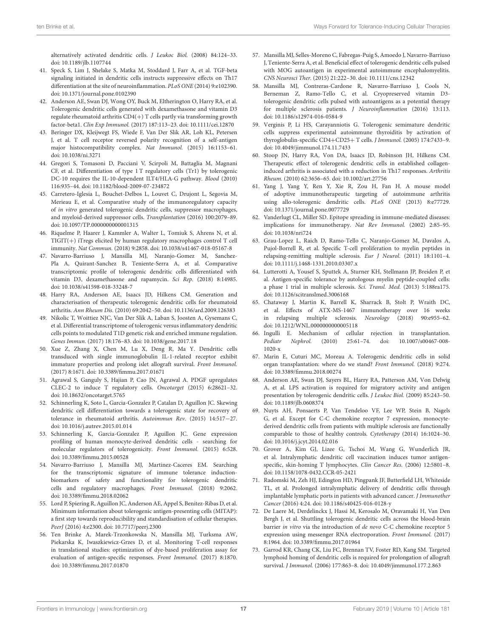alternatively activated dendritic cells. J Leukoc Biol. (2008) 84:124–33. doi: [10.1189/jlb.1107744](https://doi.org/10.1189/jlb.1107744)

- <span id="page-16-0"></span>41. Speck S, Lim J, Shelake S, Matka M, Stoddard J, Farr A, et al. TGF-beta signaling initiated in dendritic cells instructs suppressive effects on Th17 differentiation at the site of neuroinflammation. PLoS ONE (2014) 9:e102390. doi: [10.1371/journal.pone.0102390](https://doi.org/10.1371/journal.pone.0102390)
- <span id="page-16-1"></span>42. Anderson AE, Swan DJ, Wong OY, Buck M, Eltherington O, Harry RA, et al. Tolerogenic dendritic cells generated with dexamethasone and vitamin D3 regulate rheumatoid arthritis  $CD4(+)$  T cells partly via transforming growth factor-beta1. Clin Exp Immunol. (2017) 187:113–23. doi: [10.1111/cei.12870](https://doi.org/10.1111/cei.12870)
- <span id="page-16-2"></span>43. Beringer DX, Kleijwegt FS, Wiede F, Van Der Slik AR, Loh KL, Petersen J, et al. T cell receptor reversed polarity recognition of a self-antigen major histocompatibility complex. Nat Immunol. (2015) 16:1153–61. doi: [10.1038/ni.3271](https://doi.org/10.1038/ni.3271)
- <span id="page-16-3"></span>44. Gregori S, Tomasoni D, Pacciani V, Scirpoli M, Battaglia M, Magnani CF, et al. Differentiation of type 1 T regulatory cells (Tr1) by tolerogenic DC-10 requires the IL-10-dependent ILT4/HLA-G pathway. Blood (2010) 116:935–44. doi: [10.1182/blood-2009-07-234872](https://doi.org/10.1182/blood-2009-07-234872)
- <span id="page-16-4"></span>45. Carretero-Iglesia L, Bouchet-Delbos L, Louvet C, Drujont L, Segovia M, Merieau E, et al. Comparative study of the immunoregulatory capacity of in vitro generated tolerogenic dendritic cells, suppressor macrophages, and myeloid-derived suppressor cells. Transplantation (2016) 100:2079–89. doi: [10.1097/TP.0000000000001315](https://doi.org/10.1097/TP.0000000000001315)
- <span id="page-16-5"></span>46. Riquelme P, Haarer J, Kammler A, Walter L, Tomiuk S, Ahrens N, et al. TIGIT(+) iTregs elicited by human regulatory macrophages control T cell immunity. Nat Commun. (2018) 9:2858. doi: [10.1038/s41467-018-05167-8](https://doi.org/10.1038/s41467-018-05167-8)
- <span id="page-16-6"></span>47. Navarro-Barriuso J, Mansilla MJ, Naranjo-Gomez M, Sanchez-Pla A, Quirant-Sanchez B, Teniente-Serra A, et al. Comparative transcriptomic profile of tolerogenic dendritic cells differentiated with vitamin D3, dexamethasone and rapamycin. Sci Rep. (2018) 8:14985. doi: [10.1038/s41598-018-33248-7](https://doi.org/10.1038/s41598-018-33248-7)
- <span id="page-16-7"></span>48. Harry RA, Anderson AE, Isaacs JD, Hilkens CM. Generation and characterisation of therapeutic tolerogenic dendritic cells for rheumatoid arthritis. Ann Rheum Dis. (2010) 69:2042–50. doi: [10.1136/ard.2009.126383](https://doi.org/10.1136/ard.2009.126383)
- <span id="page-16-8"></span>49. Nikolic T, Woittiez NJC, Van Der Slik A, Laban S, Joosten A, Gysemans C, et al. Differential transcriptome of tolerogenic versus inflammatory dendritic cells points to modulated T1D genetic risk and enriched immune regulation. Genes Immun. (2017) 18:176–83. doi: [10.1038/gene.2017.18](https://doi.org/10.1038/gene.2017.18)
- <span id="page-16-9"></span>50. Xue Z, Zhang X, Chen M, Lu X, Deng R, Ma Y. Dendritic cells transduced with single immunoglobulin IL-1-related receptor exhibit immature properties and prolong islet allograft survival. Front Immunol. (2017) 8:1671. doi: [10.3389/fimmu.2017.01671](https://doi.org/10.3389/fimmu.2017.01671)
- <span id="page-16-10"></span>51. Agrawal S, Ganguly S, Hajian P, Cao JN, Agrawal A. PDGF upregulates CLEC-2 to induce T regulatory cells. Oncotarget (2015) 6:28621–32. doi: [10.18632/oncotarget.5765](https://doi.org/10.18632/oncotarget.5765)
- <span id="page-16-11"></span>52. Schinnerling K, Soto L, Garcia-Gonzalez P, Catalan D, Aguillon JC. Skewing dendritic cell differentiation towards a tolerogenic state for recovery of tolerance in rheumatoid arthritis. Autoimmun Rev. (2015) 14:517−27. doi: [10.1016/j.autrev.2015.01.014](https://doi.org/10.1016/j.autrev.2015.01.014)
- <span id="page-16-12"></span>53. Schinnerling K, Garcia-Gonzalez P, Aguillon JC. Gene expression profiling of human monocyte-derived dendritic cells - searching for molecular regulators of tolerogenicity. Front Immunol. (2015) 6:528. doi: [10.3389/fimmu.2015.00528](https://doi.org/10.3389/fimmu.2015.00528)
- <span id="page-16-13"></span>54. Navarro-Barriuso J, Mansilla MJ, Martinez-Caceres EM. Searching for the transcriptomic signature of immune tolerance inductionbiomarkers of safety and functionality for tolerogenic dendritic cells and regulatory macrophages. Front Immunol. (2018) 9:2062. doi: [10.3389/fimmu.2018.02062](https://doi.org/10.3389/fimmu.2018.02062)
- <span id="page-16-14"></span>55. Lord P, Spiering R, Aguillon JC, Anderson AE, Appel S, Benitez-Ribas D, et al. Minimum information about tolerogenic antigen-presenting cells (MITAP): a first step towards reproducibility and standardisation of cellular therapies. PeerJ (2016) 4:e2300. doi: [10.7717/peerj.2300](https://doi.org/10.7717/peerj.2300)
- <span id="page-16-15"></span>56. Ten Brinke A, Marek-Trzonkowska N, Mansilla MJ, Turksma AW, Piekarska K, Iwaszkiewicz-Grzes D, et al. Monitoring T-cell responses in translational studies: optimization of dye-based proliferation assay for evaluation of antigen-specific responses. Front Immunol. (2017) 8:1870. doi: [10.3389/fimmu.2017.01870](https://doi.org/10.3389/fimmu.2017.01870)
- <span id="page-16-16"></span>57. Mansilla MJ, Selles-Moreno C, Fabregas-Puig S, Amoedo J, Navarro-Barriuso J, Teniente-Serra A, et al. Beneficial effect of tolerogenic dendritic cells pulsed with MOG autoantigen in experimental autoimmune encephalomyelitis. CNS Neurosci Ther. (2015) 21:222–30. doi: [10.1111/cns.12342](https://doi.org/10.1111/cns.12342)
- <span id="page-16-17"></span>58. Mansilla MJ, Contreras-Cardone R, Navarro-Barriuso J, Cools N, Berneman Z, Ramo-Tello C, et al. Cryopreserved vitamin D3 tolerogenic dendritic cells pulsed with autoantigens as a potential therapy for multiple sclerosis patients. J Neuroinflammation (2016) 13:113. doi: [10.1186/s12974-016-0584-9](https://doi.org/10.1186/s12974-016-0584-9)
- <span id="page-16-18"></span>59. Verginis P, Li HS, Carayanniotis G. Tolerogenic semimature dendritic cells suppress experimental autoimmune thyroiditis by activation of thyroglobulin-specific CD4+CD25+ T cells. J Immunol. (2005) 174:7433–9. doi: [10.4049/jimmunol.174.11.7433](https://doi.org/10.4049/jimmunol.174.11.7433)
- 60. Stoop JN, Harry RA, Von DA, Isaacs JD, Robinson JH, Hilkens CM. Therapeutic effect of tolerogenic dendritic cells in established collageninduced arthritis is associated with a reduction in Th17 responses. Arthritis Rheum. (2010) 62:3656–65. doi: [10.1002/art.27756](https://doi.org/10.1002/art.27756)
- <span id="page-16-19"></span>61. Yang J, Yang Y, Ren Y, Xie R, Zou H, Fan H. A mouse model of adoptive immunotherapeutic targeting of autoimmune arthritis using allo-tolerogenic dendritic cells. PLoS ONE (2013) 8:e77729. doi: [10.1371/journal.pone.0077729](https://doi.org/10.1371/journal.pone.0077729)
- <span id="page-16-20"></span>62. Vanderlugt CL, Miller SD. Epitope spreading in immune-mediated diseases: implications for immunotherapy. Nat Rev Immunol. (2002) 2:85–95. doi: [10.1038/nri724](https://doi.org/10.1038/nri724)
- <span id="page-16-21"></span>63. Grau-Lopez L, Raich D, Ramo-Tello C, Naranjo-Gomez M, Davalos A, Pujol-Borrell R, et al. Specific T-cell proliferation to myelin peptides in relapsing-remitting multiple sclerosis. Eur J Neurol. (2011) 18:1101–4. doi: [10.1111/j.1468-1331.2010.03307.x](https://doi.org/10.1111/j.1468-1331.2010.03307.x)
- 64. Lutterotti A, Yousef S, Sputtek A, Sturner KH, Stellmann JP, Breiden P, et al. Antigen-specific tolerance by autologous myelin peptide-coupled cells: a phase 1 trial in multiple sclerosis. Sci. Transl. Med. (2013) 5:188ra175. doi: [10.1126/scitranslmed.3006168](https://doi.org/10.1126/scitranslmed.3006168)
- <span id="page-16-22"></span>65. Chataway J, Martin K, Barrell K, Sharrack B, Stolt P, Wraith DC, et al. Effects of ATX-MS-1467 immunotherapy over 16 weeks in relapsing multiple sclerosis. Neurology (2018) 90:e955–62. doi: [10.1212/WNL.0000000000005118](https://doi.org/10.1212/WNL.0000000000005118)
- <span id="page-16-23"></span>66. Ingulli E. Mechanism of cellular rejection in transplantation. Pediatr Nephrol. [\(2010\) 25:61–74. doi: 10.1007/s00467-008-](https://doi.org/10.1007/s00467-008-1020-x) 1020-x
- <span id="page-16-24"></span>67. Marin E, Cuturi MC, Moreau A. Tolerogenic dendritic cells in solid organ transplantation: where do we stand? Front Immunol. (2018) 9:274. doi: [10.3389/fimmu.2018.00274](https://doi.org/10.3389/fimmu.2018.00274)
- <span id="page-16-25"></span>68. Anderson AE, Swan DJ, Sayers BL, Harry RA, Patterson AM, Von Delwig A, et al. LPS activation is required for migratory activity and antigen presentation by tolerogenic dendritic cells. J Leukoc Biol. (2009) 85:243–50. doi: [10.1189/jlb.0608374](https://doi.org/10.1189/jlb.0608374)
- <span id="page-16-26"></span>69. Nuyts AH, Ponsaerts P, Van Tendeloo VF, Lee WP, Stein B, Nagels G, et al. Except for C-C chemokine receptor 7 expression, monocytederived dendritic cells from patients with multiple sclerosis are functionally comparable to those of healthy controls. Cytotherapy (2014) 16:1024–30. doi: [10.1016/j.jcyt.2014.02.016](https://doi.org/10.1016/j.jcyt.2014.02.016)
- <span id="page-16-27"></span>70. Grover A, Kim GJ, Lizee G, Tschoi M, Wang G, Wunderlich JR, et al. Intralymphatic dendritic cell vaccination induces tumor antigenspecific, skin-homing T lymphocytes. Clin Cancer Res. (2006) 12:5801–8. doi: [10.1158/1078-0432.CCR-05-2421](https://doi.org/10.1158/1078-0432.CCR-05-2421)
- <span id="page-16-28"></span>71. Radomski M, Zeh HJ, Edington HD, Pingpank JF, Butterfield LH, Whiteside TL, et al. Prolonged intralymphatic delivery of dendritic cells through implantable lymphatic ports in patients with advanced cancer. J Immunother Cancer (2016) 4:24. doi: [10.1186/s40425-016-0128-y](https://doi.org/10.1186/s40425-016-0128-y)
- <span id="page-16-29"></span>72. De Laere M, Derdelinckx J, Hassi M, Kerosalo M, Oravamaki H, Van Den Bergh J, et al. Shuttling tolerogenic dendritic cells across the blood-brain barrier in vitro via the introduction of de novo C-C chemokine receptor 5 expression using messenger RNA electroporation. Front Immunol. (2017) 8:1964. doi: [10.3389/fimmu.2017.01964](https://doi.org/10.3389/fimmu.2017.01964)
- <span id="page-16-30"></span>73. Garrod KR, Chang CK, Liu FC, Brennan TV, Foster RD, Kang SM. Targeted lymphoid homing of dendritic cells is required for prolongation of allograft survival. J Immunol. (2006) 177:863–8. doi: [10.4049/jimmunol.177.2.863](https://doi.org/10.4049/jimmunol.177.2.863)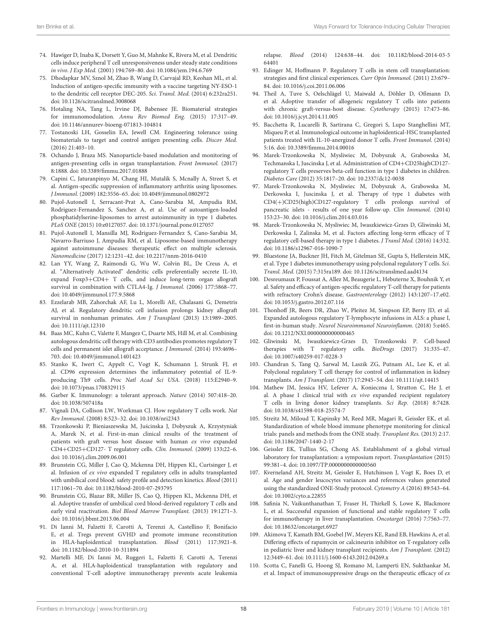- <span id="page-17-0"></span>74. Hawiger D, Inaba K, Dorsett Y, Guo M, Mahnke K, Rivera M, et al. Dendritic cells induce peripheral T cell unresponsiveness under steady state conditions in vivo. J Exp Med. (2001) 194:769–80. doi: [10.1084/jem.194.6.769](https://doi.org/10.1084/jem.194.6.769)
- <span id="page-17-1"></span>75. Dhodapkar MV, Sznol M, Zhao B, Wang D, Carvajal RD, Keohan ML, et al. Induction of antigen-specific immunity with a vaccine targeting NY-ESO-1 to the dendritic cell receptor DEC-205. Sci. Transl. Med. (2014) 6:232ra251. doi: [10.1126/scitranslmed.3008068](https://doi.org/10.1126/scitranslmed.3008068)
- <span id="page-17-2"></span>76. Hotaling NA, Tang L, Irvine DJ, Babensee JE. Biomaterial strategies for immunomodulation. Annu Rev Biomed Eng. (2015) 17:317–49. doi: [10.1146/annurev-bioeng-071813-104814](https://doi.org/10.1146/annurev-bioeng-071813-104814)
- 77. Tostanoski LH, Gosselin EA, Jewell CM. Engineering tolerance using biomaterials to target and control antigen presenting cells. Discov Med. (2016) 21:403–10.
- <span id="page-17-3"></span>78. Ochando J, Braza MS. Nanoparticle-based modulation and monitoring of antigen-presenting cells in organ transplantation. Front Immunol. (2017) 8:1888. doi: [10.3389/fimmu.2017.01888](https://doi.org/10.3389/fimmu.2017.01888)
- <span id="page-17-4"></span>79. Capini C, Jaturanpinyo M, Chang HI, Mutalik S, Mcnally A, Street S, et al. Antigen-specific suppression of inflammatory arthritis using liposomes. J Immunol. (2009) 182:3556–65. doi: [10.4049/jimmunol.0802972](https://doi.org/10.4049/jimmunol.0802972)
- <span id="page-17-5"></span>80. Pujol-Autonell I, Serracant-Prat A, Cano-Sarabia M, Ampudia RM, Rodriguez-Fernandez S, Sanchez A, et al. Use of autoantigen-loaded phosphatidylserine-liposomes to arrest autoimmunity in type 1 diabetes. PLoS ONE (2015) 10:e0127057. doi: [10.1371/journal.pone.0127057](https://doi.org/10.1371/journal.pone.0127057)
- <span id="page-17-6"></span>81. Pujol-Autonell I, Mansilla MJ, Rodriguez-Fernandez S, Cano-Sarabia M, Navarro-Barriuso J, Ampudia RM, et al. Liposome-based immunotherapy against autoimmune diseases: therapeutic effect on multiple sclerosis. Nanomedicine (2017) 12:1231–42. doi: [10.2217/nnm-2016-0410](https://doi.org/10.2217/nnm-2016-0410)
- <span id="page-17-7"></span>82. Lan YY, Wang Z, Raimondi G, Wu W, Colvin BL, De Creus A, et al. "Alternatively Activated" dendritic cells preferentially secrete IL-10, expand Foxp3+CD4+ T cells, and induce long-term organ allograft survival in combination with CTLA4-Ig. J Immunol. (2006) 177:5868–77. doi: [10.4049/jimmunol.177.9.5868](https://doi.org/10.4049/jimmunol.177.9.5868)
- <span id="page-17-8"></span>83. Ezzelarab MB, Zahorchak AF, Lu L, Morelli AE, Chalasani G, Demetris AJ, et al. Regulatory dendritic cell infusion prolongs kidney allograft survival in nonhuman primates. Am J Transplant (2013) 13:1989–2005. doi: [10.1111/ajt.12310](https://doi.org/10.1111/ajt.12310)
- <span id="page-17-9"></span>84. Baas MC, Kuhn C, Valette F, Mangez C, Duarte MS, Hill M, et al. Combining autologous dendritic cell therapy with CD3 antibodies promotes regulatory T cells and permanent islet allograft acceptance. J Immunol. (2014) 193:4696– 703. doi: [10.4049/jimmunol.1401423](https://doi.org/10.4049/jimmunol.1401423)
- <span id="page-17-10"></span>85. Stanko K, Iwert C, Appelt C, Vogt K, Schumann J, Strunk FJ, et al. CD96 expression determines the inflammatory potential of IL-9 producing Th9 cells. Proc Natl Acad Sci USA. (2018) 115:E2940–9. doi: [10.1073/pnas.1708329115](https://doi.org/10.1073/pnas.1708329115)
- <span id="page-17-11"></span>86. Garber K. Immunology: a tolerant approach. Nature (2014) 507:418–20. doi: [10.1038/507418a](https://doi.org/10.1038/507418a)
- <span id="page-17-12"></span>87. Vignali DA, Collison LW, Workman CJ. How regulatory T cells work. Nat Rev Immunol. (2008) 8:523–32. doi: [10.1038/nri2343](https://doi.org/10.1038/nri2343)
- <span id="page-17-13"></span>88. Trzonkowski P, Bieniaszewska M, Juścinska J, Dobyszuk A, Krzystyniak A, Marek N, et al. First-in-man clinical results of the treatment of patients with graft versus host disease with human ex vivo expanded CD4+CD25+CD127- T regulatory cells. Clin. Immunol. (2009) 133**:**22–6. doi: [10.1016/j.clim.2009.06.001](https://doi.org/10.1016/j.clim.2009.06.001)
- <span id="page-17-24"></span>89. Brunstein CG, Miller J, Cao Q, Mckenna DH, Hippen KL, Curtsinger J, et al. Infusion of ex vivo expanded T regulatory cells in adults transplanted with umbilical cord blood: safety profile and detection kinetics. Blood (2011) 117:1061–70. doi: [10.1182/blood-2010-07-293795](https://doi.org/10.1182/blood-2010-07-293795)
- <span id="page-17-25"></span>90. Brunstein CG, Blazar BR, Miller JS, Cao Q, Hippen KL, Mckenna DH, et al. Adoptive transfer of umbilical cord blood-derived regulatory T cells and early viral reactivation. Biol Blood Marrow Transplant. (2013) 19:1271–3. doi: [10.1016/j.bbmt.2013.06.004](https://doi.org/10.1016/j.bbmt.2013.06.004)
- <span id="page-17-26"></span>91. Di Ianni M, Falzetti F, Carotti A, Terenzi A, Castellino F, Bonifacio E, et al. Tregs prevent GVHD and promote immune reconstitution in HLA-haploidentical transplantation. Blood (2011) 117:3921–8. doi: [10.1182/blood-2010-10-311894](https://doi.org/10.1182/blood-2010-10-311894)
- <span id="page-17-14"></span>92. Martelli MF, Di Ianni M, Ruggeri L, Falzetti F, Carotti A, Terenzi A, et al. HLA-haploidentical transplantation with regulatory and conventional T-cell adoptive immunotherapy prevents acute leukemia

relapse. Blood [\(2014\) 124:638–44. doi: 10.1182/blood-2014-03-5](https://doi.org/10.1182/blood-2014-03-564401) 64401

- <span id="page-17-27"></span>93. Edinger M, Hoffmann P. Regulatory T cells in stem cell transplantation: strategies and first clinical experiences. Curr Opin Immunol. (2011) 23:679– 84. doi: [10.1016/j.coi.2011.06.006](https://doi.org/10.1016/j.coi.2011.06.006)
- <span id="page-17-15"></span>94. Theil A, Tuve S, Oelschlägel U, Maiwald A, Döhler D, Oßmann D, et al. Adoptive transfer of allogeneic regulatory T cells into patients with chronic graft-versus-host disease. Cytotherapy (2015) 17:473–86. doi: [10.1016/j.jcyt.2014.11.005](https://doi.org/10.1016/j.jcyt.2014.11.005)
- <span id="page-17-28"></span>95. Bacchetta R, Lucarelli B, Sartirana C, Gregori S, Lupo Stanghellini MT, Miqueu P, et al. Immunological outcome in haploidentical-HSC transplanted patients treated with IL-10-anergized donor T cells. Front Immunol. (2014) 5:16. doi: [10.3389/fimmu.2014.00016](https://doi.org/10.3389/fimmu.2014.00016)
- <span id="page-17-29"></span>96. Marek-Trzonkowska N, Mysliwiec M, Dobyszuk A, Grabowska M, Techmanska I, Juscinska J, et al. Administration of CD4+CD25highCD127 regulatory T cells preserves beta-cell function in type 1 diabetes in children. Diabetes Care (2012) 35:1817–20. doi: [10.2337/dc12-0038](https://doi.org/10.2337/dc12-0038)
- 97. Marek-Trzonkowska N, Mysliwiec M, Dobyszuk A, Grabowska M, Derkowska I, Juscinska J, et al. Therapy of type 1 diabetes with CD4(+)CD25(high)CD127-regulatory T cells prolongs survival of pancreatic islets - results of one year follow-up. Clin Immunol. (2014) 153:23–30. doi: [10.1016/j.clim.2014.03.016](https://doi.org/10.1016/j.clim.2014.03.016)
- <span id="page-17-30"></span>98. Marek-Trzonkowska N, Mysliwiec M, Iwaszkiewicz-Grzes D, Gliwinski M, Derkowska I, Zalinska M, et al. Factors affecting long-term efficacy of T regulatory cell-based therapy in type 1 diabetes. J Transl Med. (2016) 14:332. doi: [10.1186/s12967-016-1090-7](https://doi.org/10.1186/s12967-016-1090-7)
- <span id="page-17-31"></span>99. Bluestone JA, Buckner JH, Fitch M, Gitelman SE, Gupta S, Hellerstein MK, et al. Type 1 diabetes immunotherapy using polyclonal regulatory T cells. Sci. Transl. Med. (2015) 7:315ra189. doi: [10.1126/scitranslmed.aad4134](https://doi.org/10.1126/scitranslmed.aad4134)
- <span id="page-17-32"></span>100. Desreumaux P, Foussat A, Allez M, Beaugerie L, Hebuterne X, Bouhnik Y, et al. Safety and efficacy of antigen-specific regulatory T-cell therapy for patients with refractory Crohn's disease. Gastroenterology (2012) 143:1207–17.e02. doi: [10.1053/j.gastro.2012.07.116](https://doi.org/10.1053/j.gastro.2012.07.116)
- <span id="page-17-33"></span>101. Thonhoff JR, Beers DR, Zhao W, Pleitez M, Simpson EP, Berry JD, et al. Expanded autologous regulatory T-lymphocyte infusions in ALS: a phase I, first-in-human study. Neurol Neuroimmunol Neuroinflamm. (2018) 5:e465. doi: [10.1212/NXI.0000000000000465](https://doi.org/10.1212/NXI.0000000000000465)
- <span id="page-17-16"></span>102. Gliwinski M, Iwaszkiewicz-Grzes D, Trzonkowski P. Cell-based therapies with T regulatory cells. BioDrugs (2017) 31:335–47. doi: [10.1007/s40259-017-0228-3](https://doi.org/10.1007/s40259-017-0228-3)
- <span id="page-17-17"></span>103. Chandran S, Tang Q, Sarwal M, Laszik ZG, Putnam AL, Lee K, et al. Polyclonal regulatory T cell therapy for control of inflammation in kidney transplants. Am J Transplant. (2017) 17:2945–54. doi: [10.1111/ajt.14415](https://doi.org/10.1111/ajt.14415)
- <span id="page-17-18"></span>104. Mathew JM, Jessica HV, Lefever A, Konieczna I, Stratton C, He J, et al. A phase I clinical trial with ex vivo expanded recipient regulatory T cells in living donor kidney transplants. Sci Rep. (2018) 8:7428. doi: [10.1038/s41598-018-25574-7](https://doi.org/10.1038/s41598-018-25574-7)
- <span id="page-17-19"></span>105. Streitz M, Miloud T, Kapinsky M, Reed MR, Magari R, Geissler EK, et al. Standardization of whole blood immune phenotype monitoring for clinical trials: panels and methods from the ONE study. Transplant Res. (2013) 2:17. doi: [10.1186/2047-1440-2-17](https://doi.org/10.1186/2047-1440-2-17)
- 106. Geissler EK, Tullius SG, Chong AS. Establishment of a global virtual laboratory for transplantation: a symposium report. Transplantation (2015) 99:381–4. doi: [10.1097/TP.0000000000000560](https://doi.org/10.1097/TP.0000000000000560)
- <span id="page-17-20"></span>107. Kverneland AH, Streitz M, Geissler E, Hutchinson J, Vogt K, Boes D, et al. Age and gender leucocytes variances and references values generated using the standardized ONE-Study protocol. Cytometry A (2016) 89:543–64. doi: [10.1002/cyto.a.22855](https://doi.org/10.1002/cyto.a.22855)
- <span id="page-17-21"></span>108. Safinia N, Vaikunthanathan T, Fraser H, Thirkell S, Lowe K, Blackmore L, et al. Successful expansion of functional and stable regulatory T cells for immunotherapy in liver transplantation. Oncotarget (2016) 7:7563–77. doi: [10.18632/oncotarget.6927](https://doi.org/10.18632/oncotarget.6927)
- <span id="page-17-22"></span>109. Akimova T, Kamath BM, Goebel JW, Meyers KE, Rand EB, Hawkins A, et al. Differing effects of rapamycin or calcineurin inhibitor on T-regulatory cells in pediatric liver and kidney transplant recipients. Am J Transplant. (2012) 12:3449–61. doi: [10.1111/j.1600-6143.2012.04269.x](https://doi.org/10.1111/j.1600-6143.2012.04269.x)
- <span id="page-17-23"></span>110. Scotta C, Fanelli G, Hoong SJ, Romano M, Lamperti EN, Sukthankar M, et al. Impact of immunosuppressive drugs on the therapeutic efficacy of ex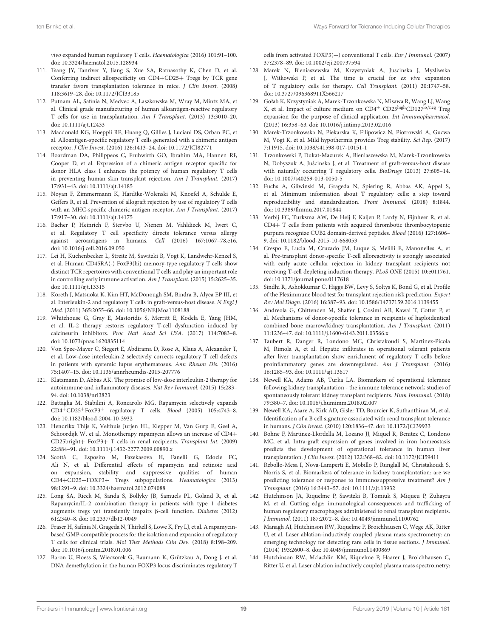vivo expanded human regulatory T cells. Haematologica (2016) 101:91–100. doi: [10.3324/haematol.2015.128934](https://doi.org/10.3324/haematol.2015.128934)

- <span id="page-18-0"></span>111. Tsang JY, Tanriver Y, Jiang S, Xue SA, Ratnasothy K, Chen D, et al. Conferring indirect allospecificity on CD4+CD25+ Tregs by TCR gene transfer favors transplantation tolerance in mice. J Clin Invest. (2008) 118:3619–28. doi: [10.1172/JCI33185](https://doi.org/10.1172/JCI33185)
- <span id="page-18-1"></span>112. Putnam AL, Safinia N, Medvec A, Laszkowska M, Wray M, Mintz MA, et al. Clinical grade manufacturing of human alloantigen-reactive regulatory T cells for use in transplantation. Am J Transplant. (2013) 13:3010–20. doi: [10.1111/ajt.12433](https://doi.org/10.1111/ajt.12433)
- <span id="page-18-2"></span>113. Macdonald KG, Hoeppli RE, Huang Q, Gillies J, Luciani DS, Orban PC, et al. Alloantigen-specific regulatory T cells generated with a chimeric antigen receptor. J Clin Invest. (2016) 126:1413–24. doi: [10.1172/JCI82771](https://doi.org/10.1172/JCI82771)
- 114. Boardman DA, Philippeos C, Fruhwirth GO, Ibrahim MA, Hannen RF, Cooper D, et al. Expression of a chimeric antigen receptor specific for donor HLA class I enhances the potency of human regulatory T cells in preventing human skin transplant rejection. Am J Transplant. (2017) 17:931–43. doi: [10.1111/ajt.14185](https://doi.org/10.1111/ajt.14185)
- <span id="page-18-3"></span>115. Noyan F, Zimmermann K, Hardtke-Wolenski M, Knoefel A, Schulde E, Geffers R, et al. Prevention of allograft rejection by use of regulatory T cells with an MHC-specific chimeric antigen receptor. Am J Transplant. (2017) 17:917–30. doi: [10.1111/ajt.14175](https://doi.org/10.1111/ajt.14175)
- <span id="page-18-4"></span>116. Bacher P, Heinrich F, Stervbo U, Nienen M, Vahldieck M, Iwert C, et al. Regulatory T cell specificity directs tolerance versus allergy against aeroantigens in humans. Cell (2016) 167:1067–78.e16. doi: [10.1016/j.cell.2016.09.050](https://doi.org/10.1016/j.cell.2016.09.050)
- <span id="page-18-5"></span>117. Lei H, Kuchenbecker L, Streitz M, Sawitzki B, Vogt K, Landwehr-Kenzel S, et al. Human CD45RA(-) FoxP3(hi) memory-type regulatory T cells show distinct TCR repertoires with conventional T cells and play an important role in controlling early immune activation. Am J Transplant. (2015) 15:2625–35. doi: [10.1111/ajt.13315](https://doi.org/10.1111/ajt.13315)
- <span id="page-18-6"></span>118. Koreth J, Matsuoka K, Kim HT, McDonough SM, Bindra B, Alyea EP III, et al. Interleukin-2 and regulatory T cells in graft-versus-host disease. N Engl J Med. (2011) 365:2055–66. doi: [10.1056/NEJMoa1108188](https://doi.org/10.1056/NEJMoa1108188)
- <span id="page-18-7"></span>119. Whitehouse G, Gray E, Mastoridis S, Merritt E, Kodela E, Yang JHM, et al. IL-2 therapy restores regulatory T-cell dysfunction induced by calcineurin inhibitors. Proc Natl Acad Sci USA. (2017) 114:7083–8. doi: [10.1073/pnas.1620835114](https://doi.org/10.1073/pnas.1620835114)
- <span id="page-18-8"></span>120. Von Spee-Mayer C, Siegert E, Abdirama D, Rose A, Klaus A, Alexander T, et al. Low-dose interleukin-2 selectively corrects regulatory T cell defects in patients with systemic lupus erythematosus. Ann Rheum Dis. (2016) 75:1407–15. doi: [10.1136/annrheumdis-2015-207776](https://doi.org/10.1136/annrheumdis-2015-207776)
- <span id="page-18-9"></span>121. Klatzmann D, Abbas AK. The promise of low-dose interleukin-2 therapy for autoimmune and inflammatory diseases. Nat Rev Immunol. (2015) 15:283– 94. doi: [10.1038/nri3823](https://doi.org/10.1038/nri3823)
- <span id="page-18-10"></span>122. Battaglia M, Stabilini A, Roncarolo MG. Rapamycin selectively expands  $\text{CD4}\widetilde{+}\text{CD25}^+\text{FoxP3}^+ \quad \text{regularory} \quad \text{T} \quad \text{cells.} \quad \text{Blood} \quad (2005) \quad 105:4743-8.$ doi: [10.1182/blood-2004-10-3932](https://doi.org/10.1182/blood-2004-10-3932)
- 123. Hendrikx Thijs K, Velthuis Jurjen HL, Klepper M, Van Gurp E, Geel A, Schoordijk W, et al. Monotherapy rapamycin allows an increase of CD4+ CD25bright+ FoxP3+ T cells in renal recipients. Transplant Int. (2009) 22:884–91. doi: [10.1111/j.1432-2277.2009.00890.x](https://doi.org/10.1111/j.1432-2277.2009.00890.x)
- <span id="page-18-11"></span>124. Scottà C, Esposito M, Fazekasova H, Fanelli G, Edozie FC, Ali N, et al. Differential effects of rapamycin and retinoic acid on expansion, stability and suppressive qualities of human CD4+CD25+FOXP3+ Tregs subpopulations. Heamatologica (2013) 98:1291–9. doi: [10.3324/haematol.2012.074088](https://doi.org/10.3324/haematol.2012.074088)
- <span id="page-18-12"></span>125. Long SA, Rieck M, Sanda S, Bollyky JB, Samuels PL, Goland R, et al. Rapamycin/IL-2 combination therapy in patients with type 1 diabetes augments tregs yet transiently impairs β-cell function. Diabetes (2012) 61:2340–8. doi: [10.2337/db12-0049](https://doi.org/10.2337/db12-0049)
- <span id="page-18-13"></span>126. Fraser H, Safinia N, Grageda N, Thirkell S, Lowe K, Fry LJ, et al. A rapamycinbased GMP-compatible process for the isolation and expansion of regulatory T cells for clinical trials. Mol Ther Methods Clin Dev. (2018) 8:198–209. doi: [10.1016/j.omtm.2018.01.006](https://doi.org/10.1016/j.omtm.2018.01.006)
- <span id="page-18-14"></span>127. Baron U, Floess S, Wieczorek G, Baumann K, Grützkau A, Dong J, et al. DNA demethylation in the human FOXP3 locus discriminates regulatory T

cells from activated FOXP3(+) conventional T cells. Eur J Immunol. (2007) 37**:**2378–89. doi: [10.1002/eji.200737594](https://doi.org/10.1002/eji.200737594)

- <span id="page-18-15"></span>128. Marek N, Bieniaszewska M, Krzystyniak A, Juscinska J, Mysliwska J, Witkowski P, et al. The time is crucial for ex vivo expansion of T regulatory cells for therapy. Cell Transplant. (2011) 20:1747–58. doi: [10.3727/096368911X566217](https://doi.org/10.3727/096368911X566217)
- 129. Gołab K, Krzystyniak A, Marek-Trzonkowska N, Misawa R, Wang LJ, Wang X, et al. Impact of culture medium on  $CD4^+$   $CD25^{\text{high}}CD127^{\text{lo/neg}}$  Treg expansion for the purpose of clinical application. Int Immunopharmacol. (2013) 16**:**358–63. doi: [10.1016/j.intimp.2013.02.016](https://doi.org/10.1016/j.intimp.2013.02.016)
- <span id="page-18-16"></span>130. Marek-Trzonkowska N, Piekarska K, Filipowicz N, Piotrowski A, Gucwa M, Vogt K, et al. Mild hypothermia provides Treg stability. Sci Rep. (2017) 7:11915. doi: [10.1038/s41598-017-10151-1](https://doi.org/10.1038/s41598-017-10151-1)
- <span id="page-18-17"></span>131. Trzonkowski P, Dukat-Mazurek A, Bieniaszewska M, Marek-Trzonkowska N, Dobyszuk A, Juścinska J, et al. Treatment of graft-versus-host disease with naturally occurring T regulatory cells. BioDrugs (2013) 27:605–14. doi: [10.1007/s40259-013-0050-5](https://doi.org/10.1007/s40259-013-0050-5)
- <span id="page-18-18"></span>132. Fuchs A, Gliwinski M, Grageda N, Spiering R, Abbas AK, Appel S, et al. Minimum information about T regulatory cells: a step toward reproducibility and standardization. Front Immunol. (2018) 8:1844. doi: [10.3389/fimmu.2017.01844](https://doi.org/10.3389/fimmu.2017.01844)
- <span id="page-18-19"></span>133. Verbij FC, Turksma AW, De Heij F, Kaijen P, Lardy N, Fijnheer R, et al. CD4+ T cells from patients with acquired thrombotic thrombocytopenic purpura recognize CUB2 domain-derived peptides. Blood (2016) 127:1606– 9. doi: [10.1182/blood-2015-10-668053](https://doi.org/10.1182/blood-2015-10-668053)
- <span id="page-18-20"></span>134. Crespo E, Lucia M, Cruzado JM, Luque S, Melilli E, Manonelles A, et al. Pre-transplant donor-specific T-cell alloreactivity is strongly associated with early acute cellular rejection in kidney transplant recipients not receiving T-cell depleting induction therapy. PLoS ONE (2015) 10:e011761. doi: [10.1371/journal.pone.0117618](https://doi.org/10.1371/journal.pone.0117618)
- <span id="page-18-21"></span>135. Sindhi R, Ashokkumar C, Higgs BW, Levy S, Soltys K, Bond G, et al. Profile of the Pleximmune blood test for transplant rejection risk prediction. Expert Rev Mol Diagn. (2016) 16:387–93. doi: [10.1586/14737159.2016.1139455](https://doi.org/10.1586/14737159.2016.1139455)
- <span id="page-18-22"></span>136. Andreola G, Chittenden M, Shaffer J, Cosimi AB, Kawai T, Cotter P, et al. Mechanisms of donor-specific tolerance in recipients of haploidentical combined bone marrow/kidney transplantation. Am J Transplant. (2011) 11:1236–47. doi: [10.1111/j.1600-6143.2011.03566.x](https://doi.org/10.1111/j.1600-6143.2011.03566.x)
- <span id="page-18-23"></span>137. Taubert R, Danger R, Londono MC, Christakoudi S, Martinez-Picola M, Rimola A, et al. Hepatic infiltrates in operational tolerant patients after liver transplantation show enrichment of regulatory T cells before proinflammatory genes are downregulated. Am J Transplant. (2016) 16:1285–93. doi: [10.1111/ajt.13617](https://doi.org/10.1111/ajt.13617)
- <span id="page-18-24"></span>138. Newell KA, Adams AB, Turka LA. Biomarkers of operational tolerance following kidney transplantation - the immune tolerance network studies of spontaneously tolerant kidney transplant recipients. Hum Immunol. (2018) 79:380–7. doi: [10.1016/j.humimm.2018.02.007](https://doi.org/10.1016/j.humimm.2018.02.007)
- <span id="page-18-25"></span>139. Newell KA, Asare A, Kirk AD, Gisler TD, Bourcier K, Suthanthiran M, et al. Identification of a B cell signature associated with renal transplant tolerance in humans. J Clin Invest. (2010) 120:1836–47. doi: [10.1172/JCI39933](https://doi.org/10.1172/JCI39933)
- 140. Bohne F, Martinez-Llordella M, Lozano JJ, Miquel R, Benitez C, Londono MC, et al. Intra-graft expression of genes involved in iron homeostasis predicts the development of operational tolerance in human liver transplantation. J Clin Invest. (2012) 122:368–82. doi: [10.1172/JCI59411](https://doi.org/10.1172/JCI59411)
- <span id="page-18-26"></span>141. Rebollo-Mesa I, Nova-Lamperti E, Mobillo P, Runglall M, Christakoudi S, Norris S, et al. Biomarkers of tolerance in kidney transplantation: are we predicting tolerance or response to immunosuppressive treatment? Am J Transplant. (2016) 16:3443–57. doi: [10.1111/ajt.13932](https://doi.org/10.1111/ajt.13932)
- <span id="page-18-27"></span>142. Hutchinson JA, Riquelme P, Sawitzki B, Tomiuk S, Miqueu P, Zuhayra M, et al. Cutting edge: immunological consequences and trafficking of human regulatory macrophages administered to renal transplant recipients. J Immunol. (2011) 187:2072–8. doi: [10.4049/jimmunol.1100762](https://doi.org/10.4049/jimmunol.1100762)
- <span id="page-18-28"></span>143. Managh AJ, Hutchinson RW, Riquelme P, Broichhausen C, Wege AK, Ritter U, et al. Laser ablation-inductively coupled plasma mass spectrometry: an emerging technology for detecting rare cells in tissue sections. J Immunol. (2014) 193:2600–8. doi: [10.4049/jimmunol.1400869](https://doi.org/10.4049/jimmunol.1400869)
- <span id="page-18-29"></span>144. Hutchinson RW, Mclachlin KM, Riquelme P, Haarer J, Broichhausen C, Ritter U, et al. Laser ablation inductively coupled plasma mass spectrometry: